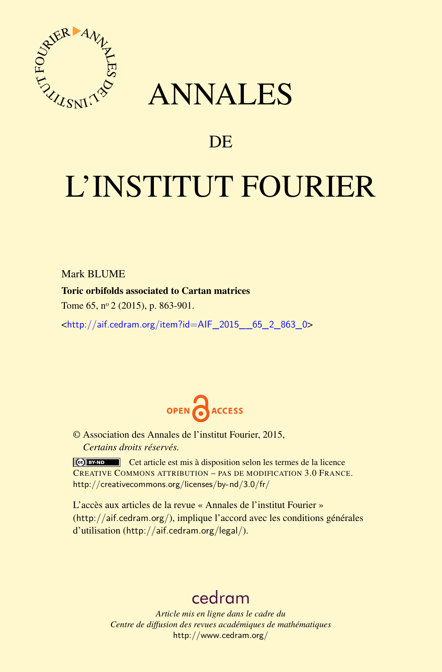

## ANNALES

### **DE**

# L'INSTITUT FOURIER

Mark **BLUME** 

#### Toric orbifolds associated to Cartan matrices

Tome 65, nº 2 (2015), p. 863-901.

 $\kappa$ [http://aif.cedram.org/item?id=AIF\\_2015\\_\\_65\\_2\\_863\\_0](http://aif.cedram.org/item?id=AIF_2015__65_2_863_0)>



© Association des Annales de l'institut Fourier, 2015, *Certains droits réservés.*

Cet article est mis à disposition selon les termes de la licence CREATIVE COMMONS ATTRIBUTION – PAS DE MODIFICATION 3.0 FRANCE. <http://creativecommons.org/licenses/by-nd/3.0/fr/>

L'accès aux articles de la revue « Annales de l'institut Fourier » (<http://aif.cedram.org/>), implique l'accord avec les conditions générales d'utilisation (<http://aif.cedram.org/legal/>).

## [cedram](http://www.cedram.org/)

*Article mis en ligne dans le cadre du Centre de diffusion des revues académiques de mathématiques* <http://www.cedram.org/>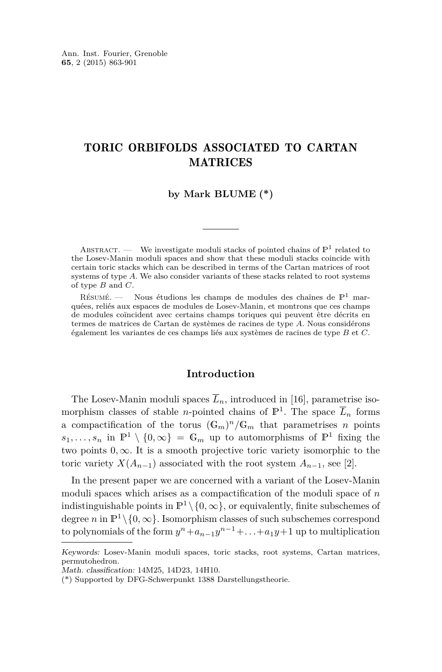#### TORIC ORBIFOLDS ASSOCIATED TO CARTAN MATRICES

#### **by Mark BLUME (\*)**

ABSTRACT. — We investigate moduli stacks of pointed chains of  $\mathbb{P}^1$  related to the Losev-Manin moduli spaces and show that these moduli stacks coincide with certain toric stacks which can be described in terms of the Cartan matrices of root systems of type *A*. We also consider variants of these stacks related to root systems of type *B* and *C*.

RÉSUMÉ. — Nous étudions les champs de modules des chaînes de  $\mathbb{P}^1$  marquées, reliés aux espaces de modules de Losev-Manin, et montrons que ces champs de modules coïncident avec certains champs toriques qui peuvent être décrits en termes de matrices de Cartan de systèmes de racines de type *A*. Nous considérons également les variantes de ces champs liés aux systèmes de racines de type *B* et *C*.

#### **Introduction**

The Losev-Manin moduli spaces  $\overline{L}_n$ , introduced in [\[16\]](#page-39-0), parametrise isomorphism classes of stable *n*-pointed chains of  $\mathbb{P}^1$ . The space  $\overline{L}_n$  forms a compactification of the torus  $(\mathbb{G}_m)^n/\mathbb{G}_m$  that parametrises *n* points  $s_1, \ldots, s_n$  in  $\mathbb{P}^1 \setminus \{0, \infty\} = \mathbb{G}_m$  up to automorphisms of  $\mathbb{P}^1$  fixing the two points  $0, \infty$ . It is a smooth projective toric variety isomorphic to the toric variety  $X(A_{n-1})$  associated with the root system  $A_{n-1}$ , see [\[2\]](#page-38-0).

In the present paper we are concerned with a variant of the Losev-Manin moduli spaces which arises as a compactification of the moduli space of *n* indistinguishable points in  $\mathbb{P}^1 \setminus \{0, \infty\}$ , or equivalently, finite subschemes of degree *n* in  $\mathbb{P}^1 \setminus \{0, \infty\}$ . Isomorphism classes of such subschemes correspond to polynomials of the form  $y^n + a_{n-1}y^{n-1} + \ldots + a_1y + 1$  up to multiplication

Keywords: Losev-Manin moduli spaces, toric stacks, root systems, Cartan matrices, permutohedron.

Math. classification: 14M25, 14D23, 14H10.

<sup>(\*)</sup> Supported by DFG-Schwerpunkt 1388 Darstellungstheorie.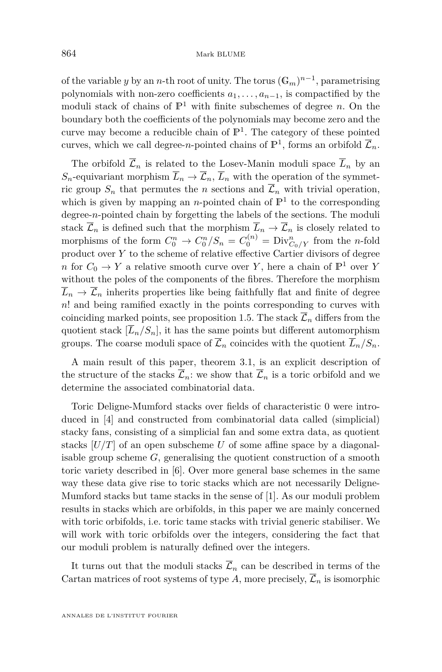of the variable *y* by an *n*-th root of unity. The torus  $(\mathbb{G}_m)^{n-1}$ , parametrising polynomials with non-zero coefficients  $a_1, \ldots, a_{n-1}$ , is compactified by the moduli stack of chains of  $\mathbb{P}^1$  with finite subschemes of degree *n*. On the boundary both the coefficients of the polynomials may become zero and the curve may become a reducible chain of  $\mathbb{P}^1$ . The category of these pointed curves, which we call degree-*n*-pointed chains of  $\mathbb{P}^1$ , forms an orbifold  $\overline{\mathcal{L}}_n$ .

The orbifold  $\overline{\mathcal{L}}_n$  is related to the Losev-Manin moduli space  $\overline{L}_n$  by an  $S_n$ -equivariant morphism  $\overline{L}_n \to \overline{\mathcal{L}}_n$ ,  $\overline{L}_n$  with the operation of the symmetric group  $S_n$  that permutes the *n* sections and  $\overline{\mathcal{L}}_n$  with trivial operation, which is given by mapping an *n*-pointed chain of  $\mathbb{P}^1$  to the corresponding degree-*n*-pointed chain by forgetting the labels of the sections. The moduli stack  $\overline{\mathcal{L}}_n$  is defined such that the morphism  $\overline{L}_n \to \overline{\mathcal{L}}_n$  is closely related to morphisms of the form  $C_0^n \to C_0^n/S_n = C_0^{(n)} = \text{Div}_{C_0/Y}^n$  from the *n*-fold product over *Y* to the scheme of relative effective Cartier divisors of degree *n* for  $C_0 \to Y$  a relative smooth curve over *Y*, here a chain of  $\mathbb{P}^1$  over *Y* without the poles of the components of the fibres. Therefore the morphism  $\overline{L}_n \to \overline{\mathcal{L}}_n$  inherits properties like being faithfully flat and finite of degree *n*! and being ramified exactly in the points corresponding to curves with coinciding marked points, see proposition [1.5.](#page-6-0) The stack  $\overline{\mathcal{L}}_n$  differs from the quotient stack  $[\overline{L}_n/S_n]$ , it has the same points but different automorphism groups. The coarse moduli space of  $\overline{\mathcal{L}}_n$  coincides with the quotient  $\overline{L}_n/S_n$ .

A main result of this paper, theorem [3.1,](#page-14-0) is an explicit description of the structure of the stacks  $\overline{\mathcal{L}}_n$ : we show that  $\overline{\mathcal{L}}_n$  is a toric orbifold and we determine the associated combinatorial data.

Toric Deligne-Mumford stacks over fields of characteristic 0 were introduced in [\[4\]](#page-38-0) and constructed from combinatorial data called (simplicial) stacky fans, consisting of a simplicial fan and some extra data, as quotient stacks  $[U/T]$  of an open subscheme *U* of some affine space by a diagonalisable group scheme *G*, generalising the quotient construction of a smooth toric variety described in [\[6\]](#page-39-0). Over more general base schemes in the same way these data give rise to toric stacks which are not necessarily Deligne-Mumford stacks but tame stacks in the sense of [\[1\]](#page-38-0). As our moduli problem results in stacks which are orbifolds, in this paper we are mainly concerned with toric orbifolds, i.e. toric tame stacks with trivial generic stabiliser. We will work with toric orbifolds over the integers, considering the fact that our moduli problem is naturally defined over the integers.

It turns out that the moduli stacks  $\overline{\mathcal{L}}_n$  can be described in terms of the Cartan matrices of root systems of type  $A$ , more precisely,  $\mathcal{L}_n$  is isomorphic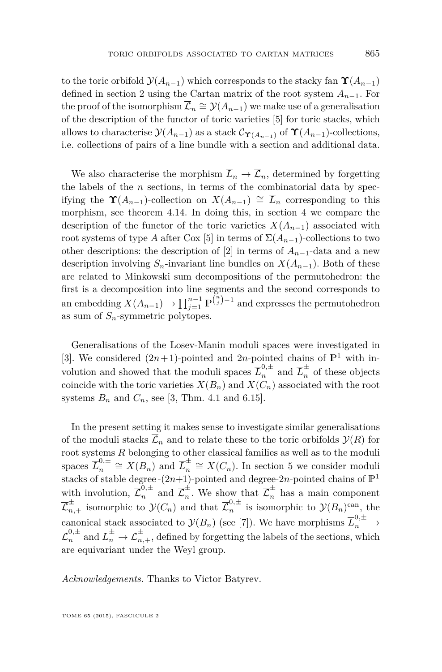to the toric orbifold  $\mathcal{Y}(A_{n-1})$  which corresponds to the stacky fan  $\Upsilon(A_{n-1})$ defined in section [2](#page-9-0) using the Cartan matrix of the root system *An*−1. For the proof of the isomorphism  $\overline{\mathcal{L}}_n \cong \mathcal{Y}(A_{n-1})$  we make use of a generalisation of the description of the functor of toric varieties [\[5\]](#page-38-0) for toric stacks, which allows to characterise  $\mathcal{Y}(A_{n-1})$  as a stack  $\mathcal{C}_{\Upsilon(A_{n-1})}$  of  $\Upsilon(A_{n-1})$ -collections, i.e. collections of pairs of a line bundle with a section and additional data.

We also characterise the morphism  $\overline{L}_n \to \overline{\mathcal{L}}_n$ , determined by forgetting the labels of the *n* sections, in terms of the combinatorial data by specifying the  $\Upsilon(A_{n-1})$ -collection on  $X(A_{n-1}) \cong \overline{L}_n$  corresponding to this morphism, see theorem [4.14.](#page-28-0) In doing this, in section [4](#page-21-0) we compare the description of the functor of the toric varieties  $X(A_{n-1})$  associated with root systems of type *A* after Cox [\[5\]](#page-38-0) in terms of  $\Sigma(A_{n-1})$ -collections to two other descriptions: the description of [\[2\]](#page-38-0) in terms of  $A_{n-1}$ -data and a new description involving  $S_n$ -invariant line bundles on  $X(A_{n-1})$ . Both of these are related to Minkowski sum decompositions of the permutohedron: the first is a decomposition into line segments and the second corresponds to an embedding  $X(A_{n-1}) \to \prod_{j=1}^{n-1} \mathbb{P}^{\binom{n}{j}-1}$  and expresses the permutohedron as sum of  $S_n$ -symmetric polytopes.

Generalisations of the Losev-Manin moduli spaces were investigated in [\[3\]](#page-38-0). We considered  $(2n+1)$ -pointed and 2*n*-pointed chains of  $\mathbb{P}^1$  with involution and showed that the moduli spaces  $\overline{L}_n^{0,\pm}$  and  $\overline{L}_n^{\pm}$  of these objects coincide with the toric varieties  $X(B_n)$  and  $X(C_n)$  associated with the root systems  $B_n$  and  $C_n$ , see [\[3,](#page-38-0) Thm. 4.1 and 6.15].

In the present setting it makes sense to investigate similar generalisations of the moduli stacks  $\overline{\mathcal{L}}_n$  and to relate these to the toric orbifolds  $\mathcal{Y}(R)$  for root systems *R* belonging to other classical families as well as to the moduli spaces  $\overline{L}_n^{0,\pm}$  $n^{0,\pm}$   $\cong X(B_n)$  and  $\overline{L}_n^{\pm}$  $\frac{1}{n} \cong X(C_n)$ . In section [5](#page-29-0) we consider moduli stacks of stable degree-( $2n+1$ )-pointed and degree- $2n$ -pointed chains of  $\mathbb{P}^1$ with involution,  $\overline{\mathcal{L}}_n^{0,\pm}$  and  $\overline{\mathcal{L}}_n^{\pm}$  $\frac{1}{n}$ . We show that  $\overline{\mathcal{L}}_n^{\pm}$  has a main component  $\overline{\mathcal{L}}_{n,+}^{\pm}$  isomorphic to  $\mathcal{Y}(C_n)$  and that  $\overline{\mathcal{L}}_n^{0,\pm}$  $\int_{n}^{\infty}$  is isomorphic to  $\mathcal{Y}(B_n)$ <sup>can</sup>, the canonical stack associated to  $\mathcal{Y}(B_n)$  (see [\[7\]](#page-39-0)). We have morphisms  $\overline{L}_n^{0,\pm} \to$  $\overline{\mathcal{L}}_n^{0,\pm}$  and  $\overline{L}_n^{\pm} \to \overline{\mathcal{L}}_{n,+}^{\pm}$ , defined by forgetting the labels of the sections, which are equivariant under the Weyl group.

*Acknowledgements.* Thanks to Victor Batyrev.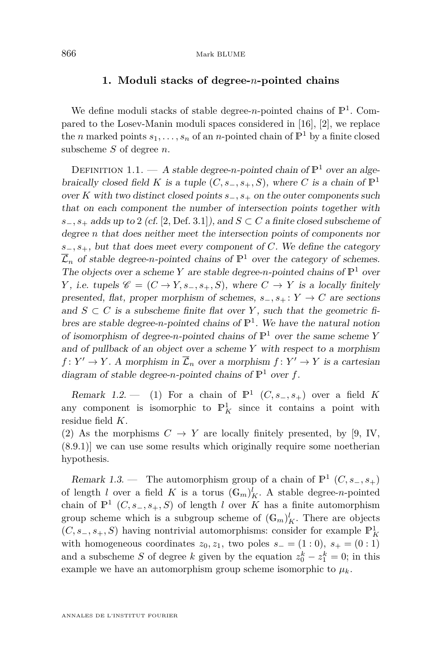#### **1. Moduli stacks of degree-***n***-pointed chains**

<span id="page-4-0"></span>We define moduli stacks of stable degree-*n*-pointed chains of  $\mathbb{P}^1$ . Compared to the Losev-Manin moduli spaces considered in [\[16\]](#page-39-0), [\[2\]](#page-38-0), we replace the *n* marked points  $s_1, \ldots, s_n$  of an *n*-pointed chain of  $\mathbb{P}^1$  by a finite closed subscheme *S* of degree *n*.

DEFINITION 1.1. — A stable degree-*n*-pointed chain of  $\mathbb{P}^1$  over an algebraically closed field *K* is a tuple  $(C, s_-, s_+, S)$ , where *C* is a chain of  $\mathbb{P}^1$ over *K* with two distinct closed points *s*−*, s*<sup>+</sup> on the outer components such that on each component the number of intersection points together with  $s_-, s_+$  adds up to 2 (cf. [\[2,](#page-38-0) Def. 3.1]), and  $S \subset C$  a finite closed subscheme of degree *n* that does neither meet the intersection points of components nor *s*−*, s*+, but that does meet every component of *C*. We define the category  $\overline{\mathcal{L}}_n$  of stable degree-*n*-pointed chains of  $\mathbb{P}^1$  over the category of schemes. The objects over a scheme *Y* are stable degree-*n*-pointed chains of  $\mathbb{P}^1$  over *Y*, i.e. tupels  $\mathscr{C} = (C \to Y, s_-, s_+, S)$ , where  $C \to Y$  is a locally finitely presented, flat, proper morphism of schemes,  $s_-, s_+ : Y \to C$  are sections and  $S \subset C$  is a subscheme finite flat over Y, such that the geometric fibres are stable degree-*n*-pointed chains of  $\mathbb{P}^1$ . We have the natural notion of isomorphism of degree-*n*-pointed chains of  $\mathbb{P}^1$  over the same scheme *Y* and of pullback of an object over a scheme *Y* with respect to a morphism  $f: Y' \to Y$ . A morphism in  $\overline{\mathcal{L}}_n$  over a morphism  $f: Y' \to Y$  is a cartesian diagram of stable degree-*n*-pointed chains of  $\mathbb{P}^1$  over *f*.

Remark 1.2.  $\qquad$  (1) For a chain of  $\mathbb{P}^1$  (*C*, *s*<sub>-</sub>*, s*<sub>+</sub>) over a field *K* any component is isomorphic to  $\mathbb{P}^1_K$  since it contains a point with residue field *K*.

(2) As the morphisms  $C \to Y$  are locally finitely presented, by [\[9,](#page-39-0) IV, (8.9.1)] we can use some results which originally require some noetherian hypothesis.

Remark 1.3. — The automorphism group of a chain of  $\mathbb{P}^1$  (*C*, *s*<sub>−</sub>, *s*<sub>+</sub>) of length *l* over a field *K* is a torus  $(\mathbb{G}_m)_{K}^l$ . A stable degree-*n*-pointed chain of  $\mathbb{P}^1$   $(C, s_-, s_+, S)$  of length *l* over *K* has a finite automorphism group scheme which is a subgroup scheme of  $(G_m)_K^l$ . There are objects (*C, s*−*, s*+*, S*) having nontrivial automorphisms: consider for example P<sup>1</sup> *K* with homogeneous coordinates  $z_0, z_1$ , two poles  $s_-(1:0)$ ,  $s_+(0:1)$ and a subscheme *S* of degree *k* given by the equation  $z_0^k - z_1^k = 0$ ; in this example we have an automorphism group scheme isomorphic to  $\mu_k$ .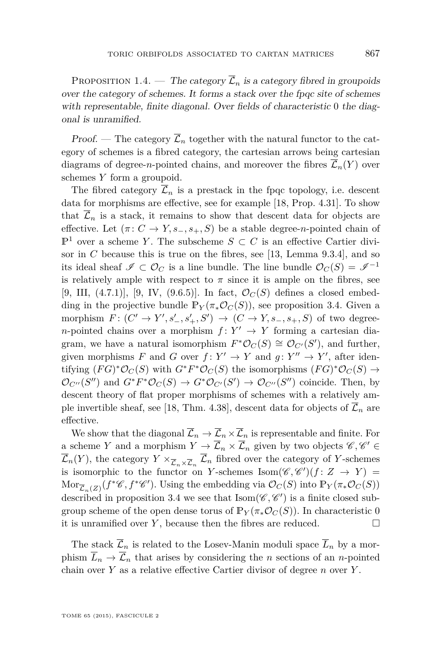<span id="page-5-0"></span>PROPOSITION 1.4. — The category  $\overline{\mathcal{L}}_n$  is a category fibred in groupoids over the category of schemes. It forms a stack over the fpqc site of schemes with representable, finite diagonal. Over fields of characteristic 0 the diagonal is unramified.

Proof. — The category  $\overline{\mathcal{L}}_n$  together with the natural functor to the category of schemes is a fibred category, the cartesian arrows being cartesian diagrams of degree-*n*-pointed chains, and moreover the fibres  $\overline{\mathcal{L}}_n(Y)$  over schemes *Y* form a groupoid.

The fibred category  $\overline{\mathcal{L}}_n$  is a prestack in the fpqc topology, i.e. descent data for morphisms are effective, see for example [\[18,](#page-39-0) Prop. 4.31]. To show that  $\overline{\mathcal{L}}_n$  is a stack, it remains to show that descent data for objects are effective. Let  $(\pi: C \to Y, s_-, s_+, S)$  be a stable degree-*n*-pointed chain of  $\mathbb{P}^1$  over a scheme *Y*. The subscheme *S* ⊂ *C* is an effective Cartier divisor in *C* because this is true on the fibres, see [\[13,](#page-39-0) Lemma 9.3.4], and so its ideal sheaf  $\mathscr{I} \subset \mathcal{O}_C$  is a line bundle. The line bundle  $\mathcal{O}_C(S) = \mathscr{I}^{-1}$ is relatively ample with respect to  $\pi$  since it is ample on the fibres, see [\[9,](#page-39-0) III,  $(4.7.1)$ ], [9, IV,  $(9.6.5)$ ]. In fact,  $\mathcal{O}_C(S)$  defines a closed embedding in the projective bundle  $\mathbb{P}_Y(\pi_*\mathcal{O}_C(S))$ , see proposition [3.4.](#page-16-0) Given a  $\text{morphism } F: (C' \to Y', s'_{-}, s'_{+}, S') \to (C \to Y, s_{-}, s_{+}, S) \text{ of two degree-}$ *n*-pointed chains over a morphism  $f: Y' \to Y$  forming a cartesian diagram, we have a natural isomorphism  $F^*O_C(S) \cong \mathcal{O}_{C'}(S')$ , and further, given morphisms *F* and *G* over  $f: Y' \to Y$  and  $g: Y'' \to Y'$ , after identifying  $(FG)^*O_C(S)$  with  $G^*F^*O_C(S)$  the isomorphisms  $(FG)^*O_C(S) \to$  $\mathcal{O}_{C''}(S'')$  and  $G^*F^*\mathcal{O}_C(S) \to G^*\mathcal{O}_{C'}(S') \to \mathcal{O}_{C''}(S'')$  coincide. Then, by descent theory of flat proper morphisms of schemes with a relatively am-ple invertible sheaf, see [\[18,](#page-39-0) Thm. 4.38], descent data for objects of  $\overline{\mathcal{L}}_n$  are effective.

We show that the diagonal  $\overline{\mathcal{L}}_n \to \overline{\mathcal{L}}_n \times \overline{\mathcal{L}}_n$  is representable and finite. For a scheme *Y* and a morphism  $Y \to \overline{\mathcal{L}}_n \times \overline{\mathcal{L}}_n$  given by two objects  $\mathscr{C}, \mathscr{C}' \in$  $\mathcal{L}_n(Y)$ , the category  $Y \times_{\overline{\mathcal{L}}_n \times \overline{\mathcal{L}}_n} \mathcal{L}_n$  fibred over the category of *Y*-schemes is isomorphic to the functor on *Y*-schemes Isom $(\mathscr{C}, \mathscr{C}')$  $(f: Z \to Y)$  $\mathrm{Mor}_{\overline{\mathcal{L}}_n(Z)}(f^*\mathscr{C}, f^*\mathscr{C}')$ . Using the embedding via  $\mathcal{O}_C(S)$  into  $\mathbb{P}_Y(\pi_*\mathcal{O}_C(S))$ described in proposition [3.4](#page-16-0) we see that  $\text{Isom}(\mathscr{C}, \mathscr{C}')$  is a finite closed subgroup scheme of the open dense torus of  $\mathbb{P}_Y(\pi_*\mathcal{O}_C(S))$ . In characteristic 0 it is unramified over  $Y$ , because then the fibres are reduced.  $\Box$ 

The stack  $\overline{\mathcal{L}}_n$  is related to the Losev-Manin moduli space  $\overline{L}_n$  by a morphism  $\overline{L}_n \to \overline{\mathcal{L}}_n$  that arises by considering the *n* sections of an *n*-pointed chain over *Y* as a relative effective Cartier divisor of degree *n* over *Y* .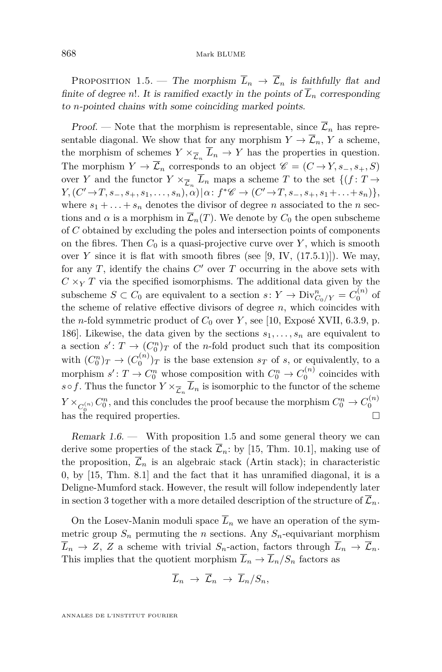<span id="page-6-0"></span>PROPOSITION 1.5. — The morphism  $\overline{L}_n \rightarrow \overline{\mathcal{L}}_n$  is faithfully flat and finite of degree *n*!. It is ramified exactly in the points of  $\overline{L}_n$  corresponding to *n*-pointed chains with some coinciding marked points.

Proof. — Note that the morphism is representable, since  $\overline{\mathcal{L}}_n$  has representable diagonal. We show that for any morphism  $Y \to \overline{\mathcal{L}}_n$ , *Y* a scheme, the morphism of schemes  $Y \times_{\overline{\mathcal{L}}_n} L_n \to Y$  has the properties in question. The morphism  $Y \to \overline{\mathcal{L}}_n$  corresponds to an object  $\mathscr{C} = (C \to Y, s_-, s_+, S)$ over *Y* and the functor  $Y \times_{\overline{\mathcal{L}}_n} L_n$  maps a scheme *T* to the set  $\{(f: T \to$  $Y, (C' \to T, s_-, s_+, s_1, \ldots, s_n), \alpha) | \alpha : f^*C \to (C' \to T, s_-, s_+, s_1 + \ldots + s_n) \},$ where  $s_1 + \ldots + s_n$  denotes the divisor of degree *n* associated to the *n* sections and  $\alpha$  is a morphism in  $\overline{\mathcal{L}}_n(T)$ . We denote by  $C_0$  the open subscheme of *C* obtained by excluding the poles and intersection points of components on the fibres. Then  $C_0$  is a quasi-projective curve over  $Y$ , which is smooth over  $Y$  since it is flat with smooth fibres (see [\[9,](#page-39-0) IV,  $(17.5.1)$ ]). We may, for any  $T$ , identify the chains  $C'$  over  $T$  occurring in the above sets with  $C \times_Y T$  via the specified isomorphisms. The additional data given by the subscheme  $S \subset C_0$  are equivalent to a section  $s: Y \to \text{Div}_{C_0/Y}^n = C_0^{(n)}$  of the scheme of relative effective divisors of degree *n*, which coincides with the *n*-fold symmetric product of  $C_0$  over  $Y$ , see [\[10,](#page-39-0) Exposé XVII, 6.3.9, p. 186]. Likewise, the data given by the sections  $s_1, \ldots, s_n$  are equivalent to a section  $s' : T \to (C_0^n)_T$  of the *n*-fold product such that its composition with  $(C_0^n)_T \to (C_0^{(n)})_T$  is the base extension  $s_T$  of *s*, or equivalently, to a morphism  $s' : T \to C_0^n$  whose composition with  $C_0^n \to C_0^{(n)}$  coincides with  $s \circ f$ . Thus the functor  $Y \times_{\overline{\mathcal{L}}_n} L_n$  is isomorphic to the functor of the scheme  $Y \times_{C_0^{(n)}} C_0^n$ , and this concludes the proof because the morphism  $C_0^n \to C_0^{(n)}$ has the required properties.

Remark 1.6. — With proposition 1.5 and some general theory we can derive some properties of the stack  $\overline{\mathcal{L}}_n$ : by [\[15,](#page-39-0) Thm. 10.1], making use of the proposition,  $\overline{\mathcal{L}}_n$  is an algebraic stack (Artin stack); in characteristic 0, by [\[15,](#page-39-0) Thm. 8.1] and the fact that it has unramified diagonal, it is a Deligne-Mumford stack. However, the result will follow independently later in section [3](#page-14-0) together with a more detailed description of the structure of  $\mathcal{L}_n$ .

On the Losev-Manin moduli space  $\overline{L}_n$  we have an operation of the symmetric group  $S_n$  permuting the *n* sections. Any  $S_n$ -equivariant morphism  $\overline{L}_n \to Z$ , *Z* a scheme with trivial  $S_n$ -action, factors through  $\overline{L}_n \to \overline{\mathcal{L}}_n$ . This implies that the quotient morphism  $\overline{L}_n \to \overline{L}_n / S_n$  factors as

$$
\overline{L}_n \rightarrow \overline{\mathcal{L}}_n \rightarrow \overline{L}_n/S_n,
$$

ANNALES DE L'INSTITUT FOURIER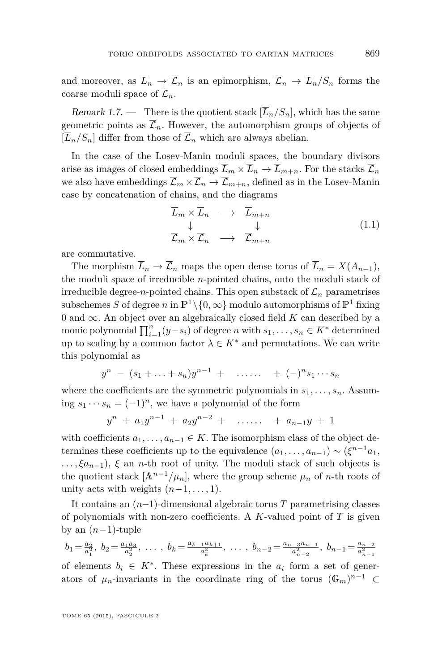<span id="page-7-0"></span>and moreover, as  $\overline{L}_n \to \overline{\mathcal{L}}_n$  is an epimorphism,  $\overline{\mathcal{L}}_n \to \overline{L}_n/S_n$  forms the coarse moduli space of  $\overline{\mathcal{L}}_n$ .

Remark 1.7. — There is the quotient stack  $[\overline{L}_n/S_n]$ , which has the same geometric points as  $\overline{\mathcal{L}}_n$ . However, the automorphism groups of objects of  $[\overline{L}_n/S_n]$  differ from those of  $\overline{\mathcal{L}}_n$  which are always abelian.

In the case of the Losev-Manin moduli spaces, the boundary divisors arise as images of closed embeddings  $\overline{L}_m \times \overline{L}_n \to \overline{L}_{m+n}$ . For the stacks  $\overline{\mathcal{L}}_n$ we also have embeddings  $\overline{\mathcal{L}}_m \times \overline{\mathcal{L}}_n \to \overline{\mathcal{L}}_{m+n}$ , defined as in the Losev-Manin case by concatenation of chains, and the diagrams

$$
\overline{L}_m \times \overline{L}_n \longrightarrow \overline{L}_{m+n} \n\downarrow \qquad \qquad \downarrow \n\overline{\mathcal{L}}_m \times \overline{\mathcal{L}}_n \longrightarrow \overline{\mathcal{L}}_{m+n}
$$
\n(1.1)

are commutative.

The morphism  $\overline{L}_n \to \overline{\mathcal{L}}_n$  maps the open dense torus of  $\overline{L}_n = X(A_{n-1}),$ the moduli space of irreducible *n*-pointed chains, onto the moduli stack of irreducible degree-*n*-pointed chains. This open substack of  $\overline{\mathcal{L}}_n$  parametrises subschemes *S* of degree *n* in  $\mathbb{P}^1 \setminus \{0, \infty\}$  modulo automorphisms of  $\mathbb{P}^1$  fixing 0 and  $\infty$ . An object over an algebraically closed field *K* can described by a monic polynomial  $\prod_{i=1}^{n} (y-s_i)$  of degree *n* with  $s_1, \ldots, s_n \in K^*$  determined up to scaling by a common factor  $\lambda \in K^*$  and permutations. We can write this polynomial as

$$
y^{n} - (s_{1} + ... + s_{n})y^{n-1} + \dots + (-)^{n}s_{1}...s_{n}
$$

where the coefficients are the symmetric polynomials in  $s_1, \ldots, s_n$ . Assuming  $s_1 \cdots s_n = (-1)^n$ , we have a polynomial of the form

$$
y^{n} + a_{1}y^{n-1} + a_{2}y^{n-2} + \ldots + a_{n-1}y + 1
$$

with coefficients  $a_1, \ldots, a_{n-1} \in K$ . The isomorphism class of the object determines these coefficients up to the equivalence  $(a_1, \ldots, a_{n-1}) \sim (\xi^{n-1} a_1, \ldots, a_n)$ *. . . , ξan*−1), *ξ* an *n*-th root of unity. The moduli stack of such objects is the quotient stack  $[A^{n-1}/\mu_n]$ , where the group scheme  $\mu_n$  of *n*-th roots of unity acts with weights  $(n-1, \ldots, 1)$ .

It contains an (*n*−1)-dimensional algebraic torus *T* parametrising classes of polynomials with non-zero coefficients. A *K*-valued point of *T* is given by an  $(n-1)$ -tuple

$$
b_1 = \frac{a_2}{a_1^2}, \ b_2 = \frac{a_1 a_3}{a_2^2}, \ \dots, \ b_k = \frac{a_{k-1} a_{k+1}}{a_k^2}, \ \dots, \ b_{n-2} = \frac{a_{n-3} a_{n-1}}{a_{n-2}^2}, \ b_{n-1} = \frac{a_{n-2}}{a_{n-1}^2}
$$
of elements  $b_i \in K^*$ . These expressions in the  $a_i$  form a set of generators of  $\mu_n$ -invariants in the coordinate ring of the torus  $(\mathbb{G}_m)^{n-1} \subset$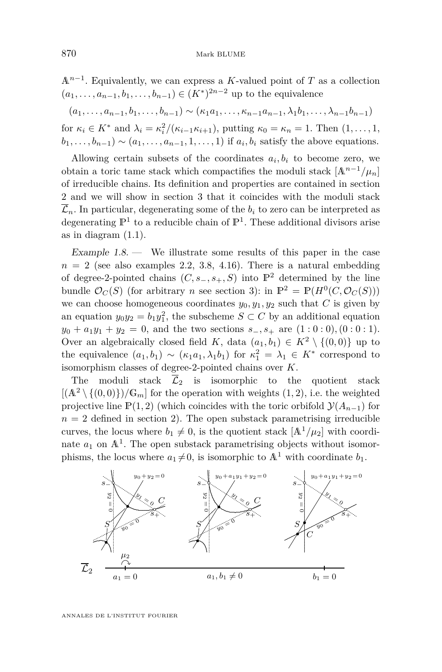<span id="page-8-0"></span>A*n*−<sup>1</sup> . Equivalently, we can express a *K*-valued point of *T* as a collection  $(a_1, ..., a_{n-1}, b_1, ..., b_{n-1})$  ∈  $(K^*)^{2n-2}$  up to the equivalence

 $(a_1, \ldots, a_{n-1}, b_1, \ldots, b_{n-1}) \sim (\kappa_1 a_1, \ldots, \kappa_{n-1} a_{n-1}, \lambda_1 b_1, \ldots, \lambda_{n-1} b_{n-1})$ 

for  $\kappa_i \in K^*$  and  $\lambda_i = \kappa_i^2/(\kappa_{i-1}\kappa_{i+1})$ , putting  $\kappa_0 = \kappa_n = 1$ . Then  $(1, \ldots, 1,$  $b_1, \ldots, b_{n-1}$ ) ~  $(a_1, \ldots, a_{n-1}, 1, \ldots, 1)$  if  $a_i, b_i$  satisfy the above equations.

Allowing certain subsets of the coordinates  $a_i, b_i$  to become zero, we obtain a toric tame stack which compactifies the moduli stack  $[A^{n-1}/\mu_n]$ of irreducible chains. Its definition and properties are contained in section [2](#page-9-0) and we will show in section [3](#page-14-0) that it coincides with the moduli stack  $\overline{\mathcal{L}}_n$ . In particular, degenerating some of the  $b_i$  to zero can be interpreted as degenerating  $\mathbb{P}^1$  to a reducible chain of  $\mathbb{P}^1$ . These additional divisors arise as in diagram [\(1.1\)](#page-7-0).

Example  $1.8$  — We illustrate some results of this paper in the case  $n = 2$  (see also examples [2.2,](#page-10-0) [3.8,](#page-20-0) [4.16\)](#page-29-0). There is a natural embedding of degree-2-pointed chains  $(C, s_-, s_+, S)$  into  $\mathbb{P}^2$  determined by the line bundle  $\mathcal{O}_C(S)$  (for arbitrary *n* see section [3\)](#page-14-0): in  $\mathbb{P}^2 = \mathbb{P}(H^0(C, \mathcal{O}_C(S)))$ we can choose homogeneous coordinates  $y_0, y_1, y_2$  such that *C* is given by an equation  $y_0y_2 = b_1y_1^2$ , the subscheme  $S \subset C$  by an additional equation  $y_0 + a_1y_1 + y_2 = 0$ , and the two sections  $s_-, s_+$  are  $(1:0:0), (0:0:1)$ . Over an algebraically closed field *K*, data  $(a_1, b_1) \in K^2 \setminus \{(0, 0)\}\$ up to the equivalence  $(a_1, b_1) \sim (\kappa_1 a_1, \lambda_1 b_1)$  for  $\kappa_1^2 = \lambda_1 \in K^*$  correspond to isomorphism classes of degree-2-pointed chains over *K*.

The moduli stack  $\overline{\mathcal{L}}_2$  is isomorphic to the quotient stack  $[(A<sup>2</sup> \setminus \{(0,0)\})/G<sub>m</sub>]$  for the operation with weights  $(1, 2)$ , i.e. the weighted projective line  $\mathbb{P}(1,2)$  (which coincides with the toric orbifold  $\mathcal{Y}(A_{n-1})$  for  $n = 2$  defined in section [2\)](#page-9-0). The open substack parametrising irreducible curves, the locus where  $b_1 \neq 0$ , is the quotient stack  $[A^1/\mu_2]$  with coordinate  $a_1$  on  $\mathbb{A}^1$ . The open substack parametrising objects without isomorphisms, the locus where  $a_1 \neq 0$ , is isomorphic to  $\mathbb{A}^1$  with coordinate  $b_1$ .

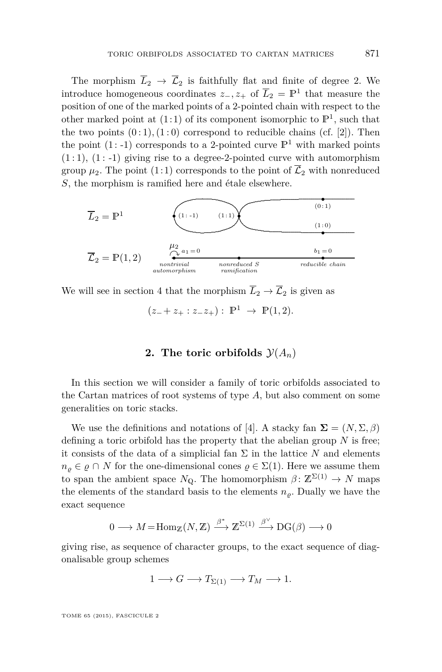<span id="page-9-0"></span>The morphism  $\overline{L}_2 \rightarrow \overline{L}_2$  is faithfully flat and finite of degree 2. We introduce homogeneous coordinates  $z_-, z_+$  of  $\overline{L}_2 = \mathbb{P}^1$  that measure the position of one of the marked points of a 2-pointed chain with respect to the other marked point at  $(1:1)$  of its component isomorphic to  $\mathbb{P}^1$ , such that the two points  $(0:1)$ ,  $(1:0)$  correspond to reducible chains  $(cf. [2])$  $(cf. [2])$  $(cf. [2])$ . Then the point (1:-1) corresponds to a 2-pointed curve  $\mathbb{P}^1$  with marked points  $(1:1)$ ,  $(1:-1)$  giving rise to a degree-2-pointed curve with automorphism group  $\mu_2$ . The point (1:1) corresponds to the point of  $\overline{\mathcal{L}}_2$  with nonreduced *S*, the morphism is ramified here and étale elsewhere.



We will see in section [4](#page-21-0) that the morphism  $\overline{L}_2 \to \overline{\mathcal{L}}_2$  is given as

 $(z_{-} + z_{+} : z_{-}z_{+}) : \mathbb{P}^{1} \to \mathbb{P}(1, 2).$ 

#### **2.** The toric orbifolds  $\mathcal{Y}(A_n)$

In this section we will consider a family of toric orbifolds associated to the Cartan matrices of root systems of type *A*, but also comment on some generalities on toric stacks.

We use the definitions and notations of [\[4\]](#page-38-0). A stacky fan  $\Sigma = (N, \Sigma, \beta)$ defining a toric orbifold has the property that the abelian group *N* is free; it consists of the data of a simplicial fan  $\Sigma$  in the lattice N and elements  $n_{\rho} \in \rho \cap N$  for the one-dimensional cones  $\rho \in \Sigma(1)$ . Here we assume them to span the ambient space  $N_{\mathbb{Q}}$ . The homomorphism  $\beta \colon \mathbb{Z}^{\Sigma(1)} \to N$  maps the elements of the standard basis to the elements  $n<sub>o</sub>$ . Dually we have the exact sequence

$$
0\longrightarrow M\!=\!\mathrm{Hom}_\mathbb{Z}(N,\mathbb{Z})\stackrel{\beta^*}{\longrightarrow} \mathbb{Z}^{\Sigma(1)}\stackrel{\beta^\vee}{\longrightarrow} \mathrm{DG}(\beta)\longrightarrow 0
$$

giving rise, as sequence of character groups, to the exact sequence of diagonalisable group schemes

$$
1 \longrightarrow G \longrightarrow T_{\Sigma(1)} \longrightarrow T_M \longrightarrow 1.
$$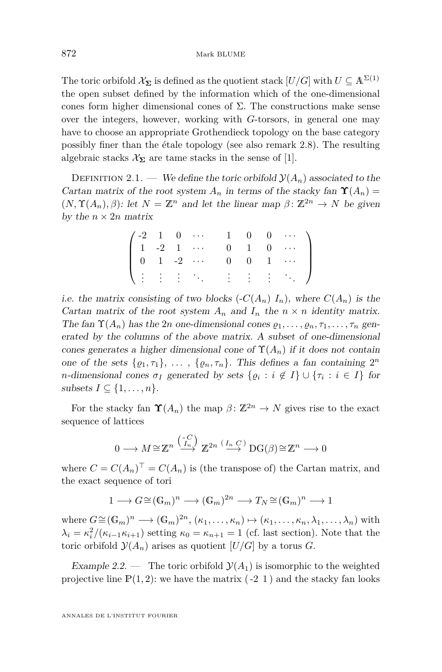<span id="page-10-0"></span>The toric orbifold  $\mathcal{X}_{\Sigma}$  is defined as the quotient stack  $[U/G]$  with  $U \subseteq \mathbb{A}^{\Sigma(1)}$ the open subset defined by the information which of the one-dimensional cones form higher dimensional cones of  $\Sigma$ . The constructions make sense over the integers, however, working with *G*-torsors, in general one may have to choose an appropriate Grothendieck topology on the base category possibly finer than the étale topology (see also remark [2.8\)](#page-14-0). The resulting algebraic stacks  $\mathcal{X}_{\Sigma}$  are tame stacks in the sense of [\[1\]](#page-38-0).

DEFINITION 2.1. — We define the toric orbifold  $\mathcal{Y}(A_n)$  associated to the Cartan matrix of the root system  $A_n$  in terms of the stacky fan  $\Upsilon(A_n)$  =  $(N, \Upsilon(A_n), \beta)$ : let  $N = \mathbb{Z}^n$  and let the linear map  $\beta \colon \mathbb{Z}^{2n} \to N$  be given by the  $n \times 2n$  matrix

|  |  | $\left( \begin{array}{cccccccc} -2 & 1 & 0 & \cdots & 1 & 0 & 0 & \cdots \\ 1 & -2 & 1 & \cdots & 0 & 1 & 0 & \cdots \\ \end{array} \right)$ |  |  |
|--|--|----------------------------------------------------------------------------------------------------------------------------------------------|--|--|
|  |  | $\begin{bmatrix} 0 & 1 & -2 & \cdots & 0 & 0 & 1 & \cdots \end{bmatrix}$                                                                     |  |  |
|  |  | $\lambda$ is interesting in the set $\lambda$                                                                                                |  |  |

i.e. the matrix consisting of two blocks  $\left(\frac{C(A_n)}{I_n}\right)I_n$ , where  $C(A_n)$  is the Cartan matrix of the root system  $A_n$  and  $I_n$  the  $n \times n$  identity matrix. The fan  $\Upsilon(A_n)$  has the 2*n* one-dimensional cones  $\rho_1, \ldots, \rho_n, \tau_1, \ldots, \tau_n$  generated by the columns of the above matrix. A subset of one-dimensional cones generates a higher dimensional cone of  $\Upsilon(A_n)$  if it does not contain one of the sets  $\{\varrho_1, \tau_1\}, \ldots, \{\varrho_n, \tau_n\}$ . This defines a fan containing  $2^n$ *n*-dimensional cones  $\sigma_I$  generated by sets  $\{ \varrho_i : i \notin I \} \cup \{ \tau_i : i \in I \}$  for subsets  $I \subseteq \{1, \ldots, n\}.$ 

For the stacky fan  $\Upsilon(A_n)$  the map  $\beta: \mathbb{Z}^{2n} \to N$  gives rise to the exact sequence of lattices

$$
0 \longrightarrow M \cong \mathbb{Z}^n \xrightarrow{\binom{-C}{I_n}} \mathbb{Z}^{2n} \xrightarrow{\left(I_n C\right)} \mathrm{DG}(\beta) \cong \mathbb{Z}^n \longrightarrow 0
$$

where  $C = C(A_n)^{\top} = C(A_n)$  is (the transpose of) the Cartan matrix, and the exact sequence of tori

$$
1 \longrightarrow G \cong (\mathbb{G}_m)^n \longrightarrow (\mathbb{G}_m)^{2n} \longrightarrow T_N \cong (\mathbb{G}_m)^n \longrightarrow 1
$$

 $\text{where } G \cong (\mathbb{G}_m)^n \longrightarrow (\mathbb{G}_m)^{2n}, (\kappa_1, \ldots, \kappa_n) \mapsto (\kappa_1, \ldots, \kappa_n, \lambda_1, \ldots, \lambda_n) \text{ with }$  $\lambda_i = \kappa_i^2/(\kappa_{i-1}\kappa_{i+1})$  setting  $\kappa_0 = \kappa_{n+1} = 1$  (cf. last section). Note that the toric orbifold  $\mathcal{Y}(A_n)$  arises as quotient  $[U/G]$  by a torus *G*.

Example 2.2. — The toric orbifold  $\mathcal{Y}(A_1)$  is isomorphic to the weighted projective line  $P(1, 2)$ : we have the matrix  $(-2, 1)$  and the stacky fan looks

ANNALES DE L'INSTITUT FOURIER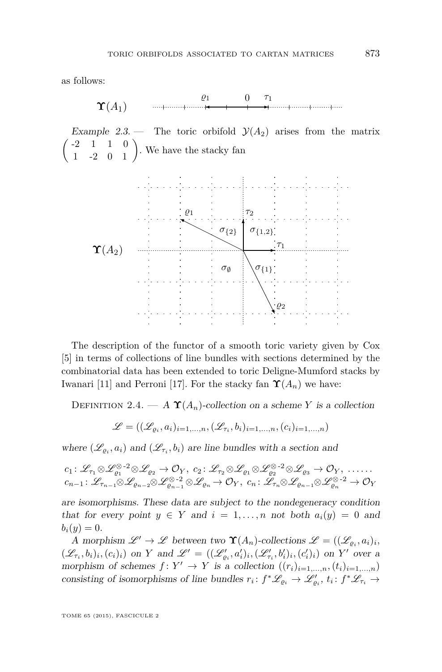<span id="page-11-0"></span>as follows:

Υ(A1) <sup>0</sup> ✲ <sup>τ</sup><sup>1</sup> ✛ 1

Example 2.3. – The toric orbifold  $\mathcal{Y}(A_2)$  arises from the matrix  $\begin{pmatrix} -2 & 1 & 1 & 0 \\ 1 & -2 & 0 & 1 \end{pmatrix}$ . We have the stacky fan <sup>Υ</sup>(A2) ✲ <sup>τ</sup><sup>1</sup>  $\sigma_{\{1,2\}}$  $\tau_2$ ❨  $\varrho_1$  $\sqrt{2^2}$  $\sigma_{\{2\}}$   $\sigma_{\{1,2\}}$  $\sigma_{\emptyset}$   $\setminus$   $\sigma_{\{1\}}$ 

The description of the functor of a smooth toric variety given by Cox [\[5\]](#page-38-0) in terms of collections of line bundles with sections determined by the combinatorial data has been extended to toric Deligne-Mumford stacks by Iwanari [\[11\]](#page-39-0) and Perroni [\[17\]](#page-39-0). For the stacky fan  $\Upsilon(A_n)$  we have:

DEFINITION 2.4. — A  $\Upsilon(A_n)$ -collection on a scheme *Y* is a collection

$$
\mathcal{L} = ((\mathcal{L}_{\varrho_i}, a_i)_{i=1,\ldots,n}, (\mathcal{L}_{\tau_i}, b_i)_{i=1,\ldots,n}, (c_i)_{i=1,\ldots,n})
$$

where  $(\mathcal{L}_{\varrho_i}, a_i)$  and  $(\mathcal{L}_{\tau_i}, b_i)$  are line bundles with a section and

$$
c_1: \mathscr{L}_{\tau_1} \otimes \mathscr{L}_{\varrho_1}^{\otimes -2} \otimes \mathscr{L}_{\varrho_2} \to \mathcal{O}_Y, c_2: \mathscr{L}_{\tau_2} \otimes \mathscr{L}_{\varrho_1} \otimes \mathscr{L}_{\varrho_2}^{\otimes -2} \otimes \mathscr{L}_{\varrho_3} \to \mathcal{O}_Y, \dots \dots
$$
  

$$
c_{n-1}: \mathscr{L}_{\tau_{n-1}} \otimes \mathscr{L}_{\varrho_{n-2}} \otimes \mathscr{L}_{\varrho_{n-1}}^{\otimes -2} \otimes \mathscr{L}_{\varrho_n} \to \mathcal{O}_Y, c_n: \mathscr{L}_{\tau_n} \otimes \mathscr{L}_{\varrho_{n-1}} \otimes \mathscr{L}_{\varrho_n}^{\otimes -2} \to \mathcal{O}_Y
$$

are isomorphisms. These data are subject to the nondegeneracy condition that for every point  $y \in Y$  and  $i = 1, \ldots, n$  not both  $a_i(y) = 0$  and  $b_i(y) = 0.$ 

A morphism  $\mathscr{L}' \to \mathscr{L}$  between two  $\Upsilon(A_n)$ -collections  $\mathscr{L} = ((\mathscr{L}_{\varrho_i}, a_i)_i,$  $(\mathscr{L}_{\tau_i},b_i)_i,(c_i)_i)$  on Y and  $\mathscr{L}' = ((\mathscr{L}'_{\varrho_i},a'_i)_i,(\mathscr{L}'_{\tau_i},b'_i)_i,(c'_i)_i)$  on Y' over a morphism of schemes  $f: Y' \to Y$  is a collection  $((r_i)_{i=1,\ldots,n}, (t_i)_{i=1,\ldots,n})$ consisting of isomorphisms of line bundles  $r_i: f^*\mathscr{L}_{\varrho_i} \to \mathscr{L}'_{\varrho_i}$ ,  $t_i: f^*\mathscr{L}_{\tau_i} \to$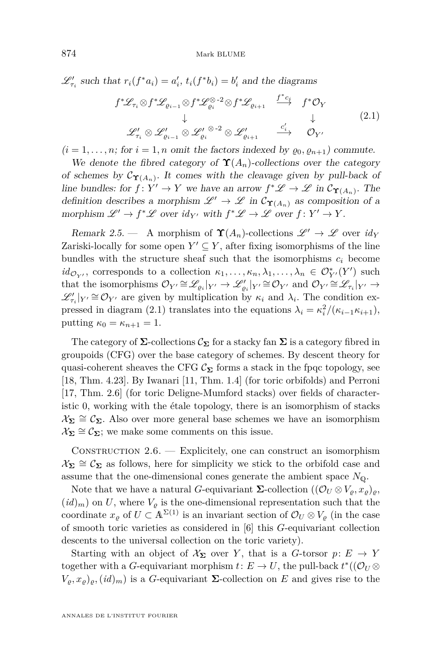<span id="page-12-0"></span> $\mathscr{L}'_{\tau_i}$  such that  $r_i(f^*a_i) = a'_i$ ,  $t_i(f^*b_i) = b'_i$  and the diagrams

$$
f^*\mathcal{L}_{\tau_i} \otimes f^*\mathcal{L}_{\varrho_{i-1}} \otimes f^*\mathcal{L}_{\varrho_i}^{\otimes -2} \otimes f^*\mathcal{L}_{\varrho_{i+1}} \xrightarrow{f^*c_i} f^*\mathcal{O}_Y
$$
  
\n
$$
\downarrow \qquad \qquad \downarrow
$$
  
\n
$$
\mathcal{L}_{\tau_i}^{\prime} \otimes \mathcal{L}_{\varrho_{i-1}}^{\prime} \otimes \mathcal{L}_{\varrho_i}^{\prime} \otimes \mathcal{L}_{\varrho_{i}}^{\prime} \otimes \mathcal{L}_{\varrho_{i+1}}^{\prime} \xrightarrow{c_i^{\prime}} \mathcal{O}_Y^{\prime}
$$
  
\n
$$
(2.1)
$$

 $(i = 1, \ldots, n;$  for  $i = 1, n$  omit the factors indexed by  $\varrho_0, \varrho_{n+1}$  commute.

We denote the fibred category of  $\Upsilon(A_n)$ -collections over the category of schemes by  $\mathcal{C}_{\Upsilon(A_n)}$ . It comes with the cleavage given by pull-back of line bundles: for  $f: Y' \to Y$  we have an arrow  $f^* \mathscr{L} \to \mathscr{L}$  in  $\mathcal{C}_{\Upsilon(A_n)}$ . The definition describes a morphism  $\mathscr{L}' \to \mathscr{L}$  in  $\mathcal{C}_{\Upsilon(A_n)}$  as composition of a morphism  $\mathscr{L}' \to f^* \mathscr{L}$  over  $id_{Y'}$  with  $f^* \mathscr{L} \to \mathscr{L}$  over  $f: Y' \to Y$ .

Remark 2.5. — A morphism of  $\Upsilon(A_n)$ -collections  $\mathscr{L}' \to \mathscr{L}$  over  $id_V$ Zariski-locally for some open  $Y' \subseteq Y$ , after fixing isomorphisms of the line bundles with the structure sheaf such that the isomorphisms  $c_i$  become  $id_{\mathcal{O}_{Y'}}$ , corresponds to a collection  $\kappa_1, \ldots, \kappa_n, \lambda_1, \ldots, \lambda_n \in \mathcal{O}_{Y'}^*(Y')$  such that the isomorphisms  $\mathcal{O}_{Y'} \cong \mathcal{L}_{\varrho_i}|_{Y'} \to \mathcal{L}'_{\varrho_i}|_{Y'} \cong \mathcal{O}_{Y'}$  and  $\mathcal{O}_{Y'} \cong \mathcal{L}_{\tau_i}|_{Y'} \to$  $\mathscr{L}'_{\tau_i}|_{Y'} \cong \mathcal{O}_{Y'}$  are given by multiplication by  $\kappa_i$  and  $\lambda_i$ . The condition expressed in diagram (2.1) translates into the equations  $\lambda_i = \kappa_i^2 / (\kappa_{i-1} \kappa_{i+1}),$ putting  $\kappa_0 = \kappa_{n+1} = 1$ .

The category of  $\Sigma$ -collections  $\mathcal{C}_{\Sigma}$  for a stacky fan  $\Sigma$  is a category fibred in groupoids (CFG) over the base category of schemes. By descent theory for quasi-coherent sheaves the CFG  $\mathcal{C}_{\Sigma}$  forms a stack in the fpqc topology, see [\[18,](#page-39-0) Thm. 4.23]. By Iwanari [\[11,](#page-39-0) Thm. 1.4] (for toric orbifolds) and Perroni [\[17,](#page-39-0) Thm. 2.6] (for toric Deligne-Mumford stacks) over fields of characteristic 0, working with the étale topology, there is an isomorphism of stacks  $\mathcal{X}_{\Sigma} \cong \mathcal{C}_{\Sigma}$ . Also over more general base schemes we have an isomorphism  $\mathcal{X}_{\Sigma} \cong \mathcal{C}_{\Sigma}$ ; we make some comments on this issue.

Construction 2.6. — Explicitely, one can construct an isomorphism  $\mathcal{X}_{\Sigma} \cong \mathcal{C}_{\Sigma}$  as follows, here for simplicity we stick to the orbifold case and assume that the one-dimensional cones generate the ambient space  $N_{\mathbb{Q}}$ .

Note that we have a natural *G*-equivariant  $\Sigma$ -collection  $((\mathcal{O}_U \otimes V_g, x_g)_{g},$  $(id)_m$ ) on U, where  $V_\rho$  is the one-dimensional representation such that the coordinate  $x_{\rho}$  of  $U \subset A^{\Sigma(1)}$  is an invariant section of  $\mathcal{O}_U \otimes V_{\rho}$  (in the case of smooth toric varieties as considered in [\[6\]](#page-39-0) this *G*-equivariant collection descents to the universal collection on the toric variety).

Starting with an object of  $X_{\Sigma}$  over *Y*, that is a *G*-torsor  $p: E \to Y$ together with a *G*-equivariant morphism  $t: E \to U$ , the pull-back  $t^*$  (( $\mathcal{O}_U \otimes$  $V_{\varrho}, x_{\varrho}$ <sub> $\varrho$ </sub>,  $(id)_m$ ) is a *G*-equivariant **Σ**-collection on *E* and gives rise to the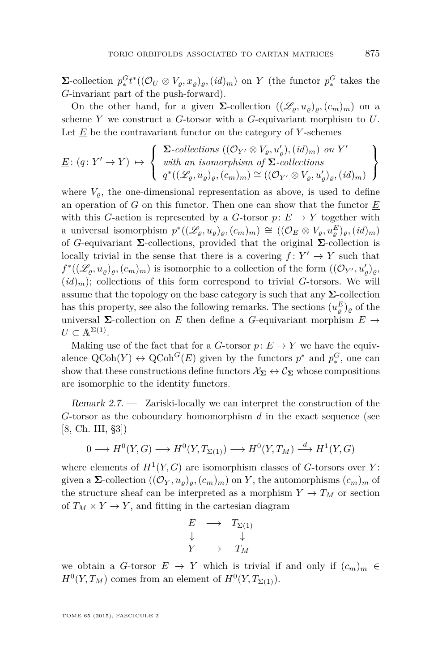**Σ**-collection  $p_*^G t^*((\mathcal{O}_U \otimes V_{\varrho}, x_{\varrho})_{\varrho}, (id)_m)$  on *Y* (the functor  $p_*^G$  takes the *G*-invariant part of the push-forward).

On the other hand, for a given  $\Sigma$ -collection  $((\mathscr{L}_{\varrho}, u_{\varrho})_{\varrho}, (c_m)_m)$  on a scheme *Y* we construct a *G*-torsor with a *G*-equivariant morphism to *U*. Let *E* be the contravariant functor on the category of *Y* -schemes

$$
\underline{E}: (q: Y' \to Y) \mapsto \left\{ \begin{array}{l} \Sigma\text{-}collections ((\mathcal{O}_{Y'} \otimes V_{\varrho}, u'_{\varrho}), (id)_m) \text{ on } Y' \\ \text{with an isomorphism of } \Sigma\text{-}collections \\ q^*((\mathscr{L}_{\varrho}, u_{\varrho})_{\varrho}, (c_m)_m) \cong ((\mathcal{O}_{Y'} \otimes V_{\varrho}, u'_{\varrho})_{\varrho}, (id)_m) \end{array} \right\}
$$

where  $V_{\rho}$ , the one-dimensional representation as above, is used to define an operation of *G* on this functor. Then one can show that the functor *E* with this *G*-action is represented by a *G*-torsor  $p: E \to Y$  together with a universal isomorphism  $p^*((\mathscr{L}_{\varrho}, u_{\varrho})_{\varrho}, (c_m)_m) \cong ((\mathcal{O}_E \otimes V_{\varrho}, u_{\varrho}^E)_{\varrho}, (id)_m)$ of *G*-equivariant **Σ**-collections, provided that the original **Σ**-collection is locally trivial in the sense that there is a covering  $f: Y' \to Y$  such that  $f^*((\mathscr{L}_{\varrho}, u_{\varrho})_{\varrho}, (c_m)_m)$  is isomorphic to a collection of the form  $((\mathcal{O}_{Y'}, u'_{\varrho})_{\varrho},$  $(id)_m$ ; collections of this form correspond to trivial *G*-torsors. We will assume that the topology on the base category is such that any  $\Sigma$ -collection has this property, see also the following remarks. The sections  $(u_{\varrho}^E)_{\varrho}$  of the universal  $\Sigma$ -collection on *E* then define a *G*-equivariant morphism  $E \rightarrow$  $U \subset \mathbb{A}^{\Sigma(1)}$ .

Making use of the fact that for a *G*-torsor  $p: E \to Y$  we have the equivalence  $Q\text{Coh}(Y) \leftrightarrow Q\text{Coh}^G(E)$  given by the functors  $p^*$  and  $p_*^G$ , one can show that these constructions define functors  $\mathcal{X}_{\Sigma} \leftrightarrow \mathcal{C}_{\Sigma}$  whose compositions are isomorphic to the identity functors.

Remark 2.7. — Zariski-locally we can interpret the construction of the *G*-torsor as the coboundary homomorphism *d* in the exact sequence (see [\[8,](#page-39-0) Ch. III, §3])

$$
0 \longrightarrow H^0(Y, G) \longrightarrow H^0(Y, T_{\Sigma(1)}) \longrightarrow H^0(Y, T_M) \stackrel{d}{\longrightarrow} H^1(Y, G)
$$

where elements of  $H^1(Y, G)$  are isomorphism classes of *G*-torsors over *Y*: given a  $\Sigma$ -collection  $((\mathcal{O}_Y, u_{\rho})_{\rho}, (c_m)_m)$  on Y, the automorphisms  $(c_m)_m$  of the structure sheaf can be interpreted as a morphism  $Y \to T_M$  or section of  $T_M \times Y \to Y$ , and fitting in the cartesian diagram

$$
\begin{array}{ccc}\nE & \longrightarrow & T_{\Sigma(1)} \\
\downarrow & & \downarrow \\
Y & \longrightarrow & T_M\n\end{array}
$$

we obtain a *G*-torsor  $E \rightarrow Y$  which is trivial if and only if  $(c_m)_m \in$  $H^0(Y, T_M)$  comes from an element of  $H^0(Y, T_{\Sigma(1)})$ .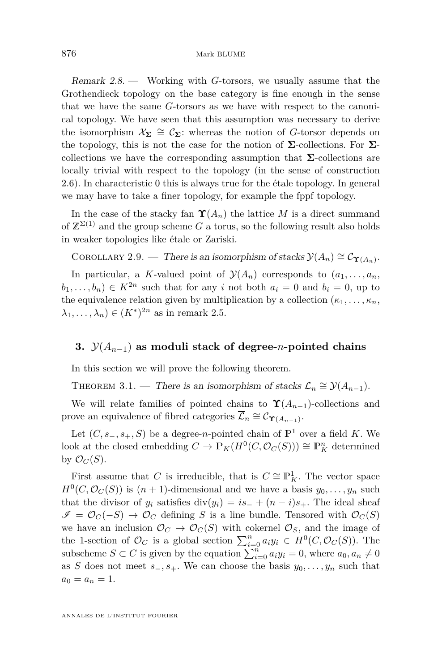<span id="page-14-0"></span>Remark 2.8. — Working with *G*-torsors, we usually assume that the Grothendieck topology on the base category is fine enough in the sense that we have the same *G*-torsors as we have with respect to the canonical topology. We have seen that this assumption was necessary to derive the isomorphism  $\mathcal{X}_{\Sigma} \cong \mathcal{C}_{\Sigma}$ : whereas the notion of *G*-torsor depends on the topology, this is not the case for the notion of  $\Sigma$ -collections. For  $\Sigma$ collections we have the corresponding assumption that **Σ**-collections are locally trivial with respect to the topology (in the sense of construction [2.6\)](#page-12-0). In characteristic 0 this is always true for the étale topology. In general we may have to take a finer topology, for example the fppf topology.

In the case of the stacky fan  $\Upsilon(A_n)$  the lattice *M* is a direct summand of  $\mathbb{Z}^{\Sigma(1)}$  and the group scheme *G* a torus, so the following result also holds in weaker topologies like étale or Zariski.

COROLLARY 2.9. — There is an isomorphism of stacks  $\mathcal{Y}(A_n) \cong \mathcal{C}_{\Upsilon(A_n)}$ .

In particular, a *K*-valued point of  $\mathcal{Y}(A_n)$  corresponds to  $(a_1, \ldots, a_n)$  $b_1, \ldots, b_n) \in K^{2n}$  such that for any *i* not both  $a_i = 0$  and  $b_i = 0$ , up to the equivalence relation given by multiplication by a collection  $(\kappa_1, \ldots, \kappa_n)$  $\lambda_1, \ldots, \lambda_n) \in (K^*)^{2n}$  as in remark [2.5.](#page-12-0)

#### **3.**  $\mathcal{Y}(A_{n-1})$  as moduli stack of degree-*n*-pointed chains

In this section we will prove the following theorem.

THEOREM 3.1. — There is an isomorphism of stacks  $\overline{\mathcal{L}}_n \cong \mathcal{Y}(A_{n-1})$ .

We will relate families of pointed chains to  $\Upsilon(A_{n-1})$ -collections and prove an equivalence of fibred categories  $\overline{\mathcal{L}}_n \cong \mathcal{C}_{\Upsilon(A_{n-1})}$ .

Let  $(C, s_-, s_+, S)$  be a degree-*n*-pointed chain of  $\mathbb{P}^1$  over a field *K*. We look at the closed embedding  $C \to \mathbb{P}_K(H^0(C, \mathcal{O}_C(S))) \cong \mathbb{P}_K^n$  determined by  $\mathcal{O}_C(S)$ .

First assume that *C* is irreducible, that is  $C \cong \mathbb{P}^1_K$ . The vector space  $H^0(C, \mathcal{O}_C(S))$  is  $(n + 1)$ -dimensional and we have a basis  $y_0, \ldots, y_n$  such that the divisor of  $y_i$  satisfies  $\text{div}(y_i) = is_+ + (n-i)s_+$ . The ideal sheaf  $\mathscr{I} = \mathcal{O}_C(-S) \to \mathcal{O}_C$  defining *S* is a line bundle. Tensored with  $\mathcal{O}_C(S)$ we have an inclusion  $\mathcal{O}_C \to \mathcal{O}_C(S)$  with cokernel  $\mathcal{O}_S$ , and the image of the 1-section of  $\mathcal{O}_C$  is a global section  $\sum_{i=0}^n a_i y_i \in H^0(C, \mathcal{O}_C(S))$ . The subscheme  $S \subset C$  is given by the equation  $\sum_{i=0}^{n} a_i y_i = 0$ , where  $a_0, a_n \neq 0$ as *S* does not meet  $s_-, s_+$ . We can choose the basis  $y_0, \ldots, y_n$  such that  $a_0 = a_n = 1.$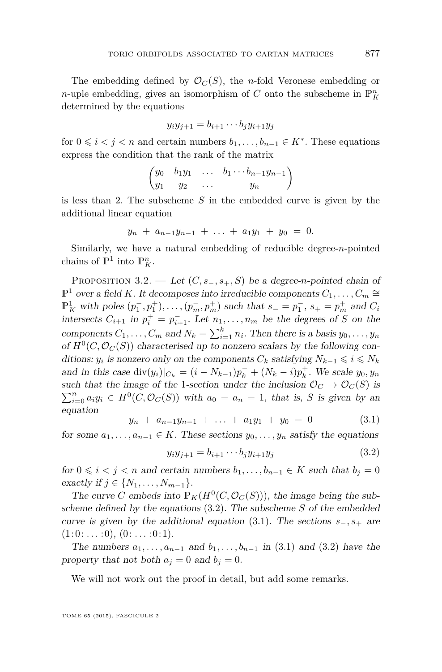<span id="page-15-0"></span>The embedding defined by  $\mathcal{O}_C(S)$ , the *n*-fold Veronese embedding or *n*-uple embedding, gives an isomorphism of *C* onto the subscheme in  $\mathbb{P}^n_K$ determined by the equations

$$
y_i y_{j+1} = b_{i+1} \cdots b_j y_{i+1} y_j
$$

for  $0 \leq i < j < n$  and certain numbers  $b_1, \ldots, b_{n-1} \in K^*$ . These equations express the condition that the rank of the matrix

$$
\begin{pmatrix} y_0 & b_1y_1 & \dots & b_1 \cdots b_{n-1}y_{n-1} \\ y_1 & y_2 & \dots & y_n \end{pmatrix}
$$

is less than 2. The subscheme *S* in the embedded curve is given by the additional linear equation

$$
y_n + a_{n-1}y_{n-1} + \ldots + a_1y_1 + y_0 = 0.
$$

Similarly, we have a natural embedding of reducible degree-*n*-pointed chains of  $\mathbb{P}^1$  into  $\mathbb{P}^n$ .

PROPOSITION 3.2. — Let  $(C, s_-, s_+, S)$  be a degree-*n*-pointed chain of  $\mathbb{P}^1$  over a field *K*. It decomposes into irreducible components  $C_1, \ldots, C_m$  ≅  $\mathbb{P}^1_K$  with poles  $(p_1^-, p_1^+), \ldots, (p_m^-, p_m^+)$  such that  $s_- = p_1^-, s_+ = p_m^+$  and  $C_i$ intersects  $C_{i+1}$  in  $p_i^+ = p_{i+1}^-$ . Let  $n_1, \ldots, n_m$  be the degrees of *S* on the components  $C_1, \ldots, C_m$  and  $N_k = \sum_{i=1}^k n_i$ . Then there is a basis  $y_0, \ldots, y_n$ of  $H^0(C, \mathcal{O}_C(S))$  characterised up to nonzero scalars by the following conditions: *y<sub>i</sub>* is nonzero only on the components  $C_k$  satisfying  $N_{k-1} \leq i \leq N_k$ and in this case  $\text{div}(y_i)|_{C_k} = (i - N_{k-1})p_k^- + (N_k - i)p_k^+$ . We scale  $y_0, y_n$ such that the image of the 1-section under the inclusion  $\mathcal{O}_C \to \mathcal{O}_C(S)$  is  $\sum_{i=0}^{n} a_i y_i \in H^0(C, \mathcal{O}_C(S))$  with  $a_0 = a_n = 1$ , that is, *S* is given by an equation

$$
y_n + a_{n-1}y_{n-1} + \ldots + a_1y_1 + y_0 = 0 \qquad (3.1)
$$

for some  $a_1, \ldots, a_{n-1} \in K$ . These sections  $y_0, \ldots, y_n$  satisfy the equations

$$
y_i y_{j+1} = b_{i+1} \cdots b_j y_{i+1} y_j \tag{3.2}
$$

for  $0 \leq i \leq j \leq n$  and certain numbers  $b_1, \ldots, b_{n-1} \in K$  such that  $b_j = 0$  $\{ \text{exactly if } j \in \{N_1, \ldots, N_{m-1}\}.$ 

The curve *C* embeds into  $\mathbb{P}_K(H^0(C, \mathcal{O}_C(S)))$ , the image being the subscheme defined by the equations (3.2). The subscheme *S* of the embedded curve is given by the additional equation (3.1). The sections  $s_-, s_+$  are  $(1: 0: \ldots: 0), (0: \ldots: 0: 1).$ 

The numbers  $a_1, \ldots, a_{n-1}$  and  $b_1, \ldots, b_{n-1}$  in (3.1) and (3.2) have the property that not both  $a_j = 0$  and  $b_j = 0$ .

We will not work out the proof in detail, but add some remarks.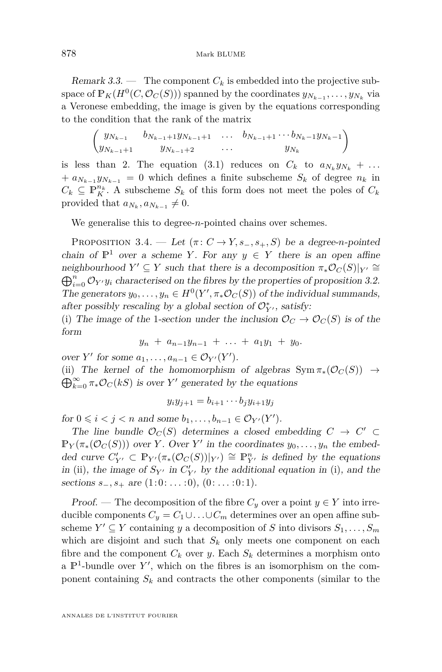<span id="page-16-0"></span>Remark 3.3. — The component  $C_k$  is embedded into the projective subspace of  $\mathbb{P}_K(H^0(C, \mathcal{O}_C(S)))$  spanned by the coordinates  $y_{N_{k-1}}, \ldots, y_{N_k}$  via a Veronese embedding, the image is given by the equations corresponding to the condition that the rank of the matrix

$$
\begin{pmatrix} y_{N_{k-1}} & b_{N_{k-1}+1}y_{N_{k-1}+1} & \dots & b_{N_{k-1}+1} \dots b_{N_k-1}y_{N_k-1} \\ y_{N_{k-1}+1} & y_{N_{k-1}+2} & \dots & y_{N_k} \end{pmatrix}
$$

is less than 2. The equation [\(3.1\)](#page-15-0) reduces on  $C_k$  to  $a_{N_k}y_{N_k} + \ldots$  $+a_{N_{k-1}}y_{N_{k-1}} = 0$  which defines a finite subscheme  $S_k$  of degree  $n_k$  in  $C_k \subseteq \mathbb{P}_{K}^{n_k}$ . A subscheme  $S_k$  of this form does not meet the poles of  $C_k$ provided that  $a_{N_k}, a_{N_{k-1}} \neq 0$ .

We generalise this to degree-*n*-pointed chains over schemes.

PROPOSITION 3.4. — Let  $(\pi: C \to Y, s_-, s_+, S)$  be a degree-*n*-pointed chain of  $\mathbb{P}^1$  over a scheme *Y*. For any  $y \in Y$  there is an open affine neighbourhood *Y*<sup>'</sup>  $\subseteq$  *Y* such that there is a decomposition  $\pi_*\mathcal{O}_C(S)|_{Y'} \cong$  $\bigoplus_{i=0}^n \mathcal{O}_{Y'} y_i$  characterised on the fibres by the properties of proposition [3.2.](#page-15-0) The generators  $y_0, \ldots, y_n \in H^0(Y', \pi_* \mathcal{O}_C(S))$  of the individual summands, after possibly rescaling by a global section of  $\mathcal{O}_{Y'}^*$ , satisfy:

(i) The image of the 1-section under the inclusion  $\mathcal{O}_C \to \mathcal{O}_C(S)$  is of the form

$$
y_n + a_{n-1}y_{n-1} + \ldots + a_1y_1 + y_0.
$$

over *Y*' for some  $a_1, \ldots, a_{n-1} \in \mathcal{O}_{Y'}(Y')$ .

(ii) The kernel of the homomorphism of algebras  $Sym \pi_*(\mathcal{O}_C(S)) \to$  $\bigoplus_{k=0}^{\infty} \pi_* \mathcal{O}_C(kS)$  is over *Y*' generated by the equations

$$
y_iy_{j+1} = b_{i+1}\cdots b_jy_{i+1}y_j
$$

for 0 ≤ *i* < *j* < *n* and some  $b_1, ..., b_{n-1}$  ∈  $\mathcal{O}_{Y'}(Y')$ .

The line bundle  $\mathcal{O}_C(S)$  determines a closed embedding  $C \rightarrow C' \subset$  $\mathbb{P}_Y(\pi_*(\mathcal{O}_C(S)))$  over *Y*. Over *Y'* in the coordinates  $y_0, \ldots, y_n$  the embedded curve  $C'_{Y'} \subset \mathbb{P}_{Y'}(\pi_*(\mathcal{O}_C(S))|_{Y'}) \cong \mathbb{P}_{Y'}^n$  is defined by the equations in (ii), the image of  $S_{Y'}$  in  $C'_{Y'}$  by the additional equation in (i), and the sections *s*<sub>−</sub>, *s*<sub>+</sub> are (1:0: . . . : 0), (0: . . . : 0:1).

Proof. — The decomposition of the fibre  $C_y$  over a point  $y \in Y$  into irreducible components  $C_y = C_1 \cup \ldots \cup C_m$  determines over an open affine subscheme  $Y' \subseteq Y$  containing *y* a decomposition of *S* into divisors  $S_1, \ldots, S_m$ which are disjoint and such that  $S_k$  only meets one component on each fibre and the component  $C_k$  over *y*. Each  $S_k$  determines a morphism onto a  $\mathbb{P}^1$ -bundle over Y', which on the fibres is an isomorphism on the component containing  $S_k$  and contracts the other components (similar to the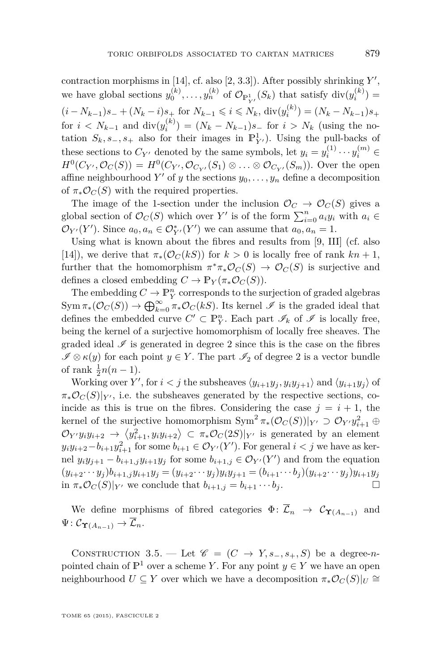<span id="page-17-0"></span>contraction morphisms in [\[14\]](#page-39-0), cf. also [\[2,](#page-38-0) 3.3]). After possibly shrinking *Y'*, we have global sections  $y_0^{(k)}, \ldots, y_n^{(k)}$  of  $\mathcal{O}_{\mathbb{P}^1_{Y'}}(S_k)$  that satisfy  $\text{div}(y_i^{(k)}) =$  $(i - N_{k-1})s_+ + (N_k - i)s_+$  for  $N_{k-1} \le i \le N_k$ ,  $div(y_i^{(k)}) = (N_k - N_{k-1})s_+$ for  $i < N_{k-1}$  and  $\text{div}(y_i^{(k)}) = (N_k - N_{k-1})s$  for  $i > N_k$  (using the notation  $S_k$ ,  $s_-, s_+$  also for their images in  $\mathbb{P}^1_{Y'}$ ). Using the pull-backs of these sections to  $C_{Y'}$  denoted by the same symbols, let  $y_i = y_i^{(1)} \cdots y_i^{(m)} \in$  $H^0(C_{Y'}, \mathcal{O}_C(S)) = H^0(C_{Y'}, \mathcal{O}_{C_{Y'}}(S_1) \otimes \ldots \otimes \mathcal{O}_{C_{Y'}}(S_m))$ . Over the open affine neighbourhood  $Y'$  of  $y$  the sections  $y_0, \ldots, y_n$  define a decomposition of  $\pi_*\mathcal{O}_C(S)$  with the required properties.

The image of the 1-section under the inclusion  $\mathcal{O}_C \to \mathcal{O}_C(S)$  gives a global section of  $\mathcal{O}_C(S)$  which over  $Y'$  is of the form  $\sum_{i=0}^n a_i y_i$  with  $a_i \in$  $\mathcal{O}_{Y'}(Y')$ . Since  $a_0, a_n \in \mathcal{O}_{Y'}^*(Y')$  we can assume that  $a_0, a_n = 1$ .

Using what is known about the fibres and results from [\[9,](#page-39-0) III] (cf. also [\[14\]](#page-39-0)), we derive that  $\pi_*(\mathcal{O}_C(kS))$  for  $k > 0$  is locally free of rank  $kn + 1$ , further that the homomorphism  $\pi^*\pi_*\mathcal{O}_C(S) \to \mathcal{O}_C(S)$  is surjective and defines a closed embedding  $C \to \mathbb{P}_Y(\pi_*\mathcal{O}_C(S)).$ 

The embedding  $C\to \mathbb{P}_{Y}^n$  corresponds to the surjection of graded algebras  $Sym \pi_*(\mathcal{O}_C(S)) \to \bigoplus_{k=0}^{\infty} \pi_*\mathcal{O}_C(kS)$ . Its kernel  $\mathscr I$  is the graded ideal that defines the embedded curve  $C' \subset \mathbb{P}_{Y}^n$ . Each part  $\mathscr{I}_k$  of  $\mathscr{I}$  is locally free, being the kernel of a surjective homomorphism of locally free sheaves. The graded ideal  $\mathcal I$  is generated in degree 2 since this is the case on the fibres  $\mathscr{I} \otimes \kappa(y)$  for each point  $y \in Y$ . The part  $\mathscr{I}_2$  of degree 2 is a vector bundle of rank  $\frac{1}{2}n(n-1)$ .

Working over  $Y'$ , for  $i < j$  the subsheaves  $\langle y_{i+1}y_j, y_iy_{j+1} \rangle$  and  $\langle y_{i+1}y_j \rangle$  of  $\pi_*\mathcal{O}_C(S)|_{Y'}$ , i.e. the subsheaves generated by the respective sections, coincide as this is true on the fibres. Considering the case  $j = i + 1$ , the kernel of the surjective homomorphism  $Sym^2 \pi_*(\mathcal{O}_C(S))|_{Y'} \supset \mathcal{O}_{Y'} y_{i+1}^2 \oplus$  $\mathcal{O}_Y$ *'y*<sub>*i*</sub>'*y*<sub>*i*</sub><sup>2</sup> + 2  $\langle y_{i+1}^2, y_i y_{i+2} \rangle \subset \pi_* \mathcal{O}_C(2S)|_{Y'}$  is generated by an element  $y_i y_{i+2} - b_{i+1} y_{i+1}^2$  for some  $b_{i+1} \in \mathcal{O}_{Y'}(Y')$ . For general  $i < j$  we have as kernel  $y_i y_{j+1} - b_{i+1,j} y_{i+1} y_j$  for some  $b_{i+1,j} \in \mathcal{O}_{Y'}(Y')$  and from the equation  $(y_{i+2}\cdots y_j)b_{i+1,j}y_{i+1}y_j=(y_{i+2}\cdots y_j)y_iy_{j+1}=(b_{i+1}\cdots b_j)(y_{i+2}\cdots y_j)y_{i+1}y_j$ in  $\pi_*\mathcal{O}_C(S)|_{Y'}$  we conclude that  $b_{i+1,j} = b_{i+1} \cdots b_j$ .

We define morphisms of fibred categories  $\Phi: \overline{\mathcal{L}}_n \to \mathcal{C}_{\Upsilon(A_{n-1})}$  and  $\Psi: \mathcal{C}_{\Upsilon(A_{n-1})} \to \overline{\mathcal{L}}_n.$ 

CONSTRUCTION 3.5. — Let  $\mathscr{C} = (C \rightarrow Y, s_-, s_+, S)$  be a degree-*n*pointed chain of  $\mathbb{P}^1$  over a scheme *Y*. For any point  $y \in Y$  we have an open neighbourhood  $U \subseteq Y$  over which we have a decomposition  $\pi_*\mathcal{O}_C(S)|_U \cong$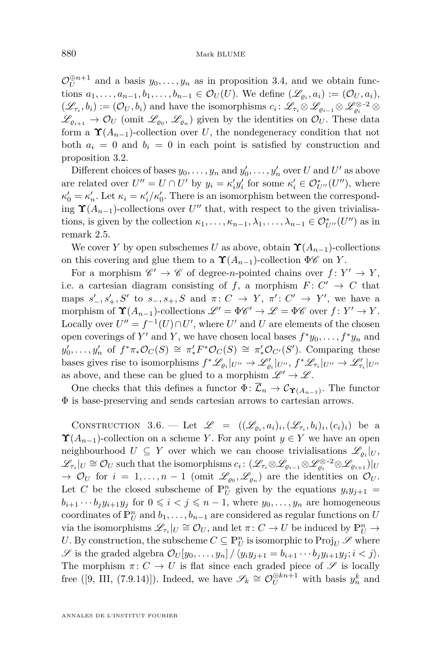<span id="page-18-0"></span> $\mathcal{O}_U^{\oplus n+1}$  and a basis  $y_0, \ldots, y_n$  as in proposition [3.4,](#page-16-0) and we obtain functions  $a_1, \ldots, a_{n-1}, b_1, \ldots, b_{n-1} \in \mathcal{O}_U(U)$ . We define  $(\mathscr{L}_{\varrho_i}, a_i) := (\mathcal{O}_U, a_i)$ ,  $(\mathscr{L}_{\tau_i}, b_i) := (\mathcal{O}_U, b_i)$  and have the isomorphisms  $c_i : \mathscr{L}_{\tau_i} \otimes \mathscr{L}_{\varrho_{i-1}} \otimes \mathscr{L}_{\varrho_i}^{\otimes -2} \otimes$  $\mathscr{L}_{\varrho_{i+1}} \to \mathcal{O}_U$  (omit  $\mathscr{L}_{\varrho_0}, \mathscr{L}_{\varrho_n}$ ) given by the identities on  $\mathcal{O}_U$ . These data form a  $\Upsilon(A_{n-1})$ -collection over *U*, the nondegeneracy condition that not both  $a_i = 0$  and  $b_i = 0$  in each point is satisfied by construction and proposition [3.2.](#page-15-0)

Different choices of bases  $y_0, \ldots, y_n$  and  $y'_0, \ldots, y'_n$  over *U* and *U'* as above are related over  $U'' = U \cap U'$  by  $y_i = \kappa'_i y'_i$  for some  $\kappa'_i \in \mathcal{O}_{U''}^*(U'')$ , where  $\kappa'_0 = \kappa'_n$ . Let  $\kappa_i = \kappa'_i / \kappa'_0$ . There is an isomorphism between the corresponding  $\Upsilon(A_{n-1})$ -collections over  $U''$  that, with respect to the given trivialisations, is given by the collection  $\kappa_1, \ldots, \kappa_{n-1}, \lambda_1, \ldots, \lambda_{n-1} \in \mathcal{O}_{U''}^*(U'')$  as in remark [2.5.](#page-12-0)

We cover *Y* by open subschemes *U* as above, obtain  $\Upsilon(A_{n-1})$ -collections on this covering and glue them to a  $\Upsilon(A_{n-1})$ -collection  $\Phi\mathscr{C}$  on *Y*.

For a morphism  $\mathscr{C}' \to \mathscr{C}$  of degree-*n*-pointed chains over  $f: Y' \to Y$ , i.e. a cartesian diagram consisting of  $f$ , a morphism  $F: C' \to C$  that maps  $s'_{-}, s'_{+}, S'$  to  $s_{-}, s_{+}, S$  and  $\pi: C \rightarrow Y, \pi': C' \rightarrow Y'$ , we have a morphism of  $\Upsilon(A_{n-1})$ -collections  $\mathscr{L}' = \Phi \mathscr{C}' \to \mathscr{L} = \Phi \mathscr{C}$  over  $f \colon Y' \to Y$ . Locally over  $U'' = f^{-1}(U) \cap U'$ , where  $U'$  and  $U$  are elements of the chosen open coverings of  $Y'$  and  $Y$ , we have chosen local bases  $f^*y_0, \ldots, f^*y_n$  and  $y'_0, \ldots, y'_n$  of  $f^*\pi_*\mathcal{O}_C(S) \cong \pi'_*F^*\mathcal{O}_C(S) \cong \pi'_*\mathcal{O}_{C'}(S')$ . Comparing these bases gives rise to isomorphisms  $f^*\mathscr{L}_{\varrho_i}|_{U''} \to \mathscr{L}'_{\varrho_i}|_{U''}, f^*\mathscr{L}_{\tau_i}|_{U''} \to \mathscr{L}'_{\tau_i}|_{U''}$ as above, and these can be glued to a morphism  $\mathscr{L}' \to \mathscr{L}$ .

One checks that this defines a functor  $\Phi: \mathcal{L}_n \to \mathcal{C}_{\Upsilon(A_{n-1})}$ . The functor Φ is base-preserving and sends cartesian arrows to cartesian arrows.

CONSTRUCTION 3.6. — Let  $\mathscr{L} = ((\mathscr{L}_{\varrho_i}, a_i)_i, (\mathscr{L}_{\tau_i}, b_i)_i, (c_i)_i)$  be a  $\Upsilon(A_{n-1})$ -collection on a scheme *Y*. For any point  $y \in Y$  we have an open neighbourhood  $U \subseteq Y$  over which we can choose trivialisations  $\mathscr{L}_{\varrho_i}|_U$ ,  $\mathscr{L}_{\tau_i}|_U \cong \mathcal{O}_U$  such that the isomorphisms  $c_i: (\mathscr{L}_{\tau_i} \otimes \mathscr{L}_{\varrho_{i-1}} \otimes \mathscr{L}_{\varrho_i}^{\otimes -2} \otimes \mathscr{L}_{\varrho_{i+1}})|_U$  $\rightarrow$   $\mathcal{O}_U$  for  $i = 1, ..., n-1$  (omit  $\mathscr{L}_{\varrho_0}, \mathscr{L}_{\varrho_n}$ ) are the identities on  $\mathcal{O}_U$ . Let *C* be the closed subscheme of  $\mathbb{P}_{U}^{n}$  given by the equations  $y_{i}y_{j+1} =$  $b_{i+1} \cdots b_j y_{i+1} y_j$  for  $0 \leq i < j \leq n-1$ , where  $y_0, \ldots, y_n$  are homogeneous coordinates of  $\mathbb{P}_{U}^{n}$  and  $b_1, \ldots, b_{n-1}$  are considered as regular functions on *U* via the isomorphisms  $\mathscr{L}_{\tau_i}|_U \cong \mathcal{O}_U$ , and let  $\pi: C \to U$  be induced by  $\mathbb{P}^n_U \to$ U. By construction, the subscheme  $C \subseteq \mathbb{P}_{U}^{n}$  is isomorphic to  $\text{Proj}_{U} \mathscr{S}$  where S is the graded algebra  $\mathcal{O}_U[y_0, \ldots, y_n]/\langle y_i y_{j+1} = b_{i+1} \cdots b_j y_{i+1} y_j; i < j \rangle$ . The morphism  $\pi: C \to U$  is flat since each graded piece of  $\mathscr S$  is locally free ([\[9,](#page-39-0) III, (7.9.14)]). Indeed, we have  $\mathscr{S}_k \cong \mathcal{O}_U^{\oplus kn+1}$  with basis  $y_n^k$  and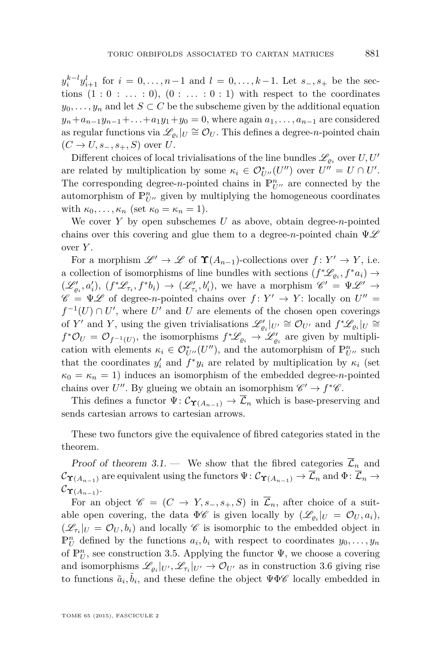$y_i^{k-l} y_{i+1}^l$  for  $i = 0, ..., n-1$  and  $l = 0, ..., k-1$ . Let *s*−*, s*+ be the sections  $(1:0:...:0)$ ,  $(0:...:0:1)$  with respect to the coordinates  $y_0, \ldots, y_n$  and let  $S \subset C$  be the subscheme given by the additional equation  $y_n + a_{n-1}y_{n-1} + \ldots + a_1y_1 + y_0 = 0$ , where again  $a_1, \ldots, a_{n-1}$  are considered as regular functions via  $\mathscr{L}_{\varrho_i}|_U \cong \mathcal{O}_U$ . This defines a degree-*n*-pointed chain  $(C \rightarrow U, s_-, s_+, S)$  over *U*.

Different choices of local trivialisations of the line bundles  $\mathscr{L}_{\varrho_i}$  over  $U, U'$ are related by multiplication by some  $\kappa_i \in \mathcal{O}_{U''}^*(U'')$  over  $U'' = U \cap U'$ . The corresponding degree-*n*-pointed chains in  $\mathbb{P}^n_{U}$  are connected by the automorphism of  $\mathbb{P}^n_{U}$  given by multiplying the homogeneous coordinates with  $\kappa_0, \ldots, \kappa_n$  (set  $\kappa_0 = \kappa_n = 1$ ).

We cover *Y* by open subschemes *U* as above, obtain degree-*n*-pointed chains over this covering and glue them to a degree- $n$ -pointed chain  $\Psi \mathscr{L}$ over *Y* .

For a morphism  $\mathscr{L}' \to \mathscr{L}$  of  $\Upsilon(A_{n-1})$ -collections over  $f: Y' \to Y$ , i.e. a collection of isomorphisms of line bundles with sections  $(f^*\mathscr{L}_{\varrho_i}, f^*a_i) \rightarrow$  $(\mathscr{L}'_{\varrho_i}, a'_i), (f^*\mathscr{L}_{\tau_i}, f^*b_i) \rightarrow (\mathscr{L}'_{\tau_i}, b'_i)$ , we have a morphism  $\mathscr{C}' = \Psi \mathscr{L}' \rightarrow$  $\mathscr{C} = \Psi \mathscr{L}$  of degree-*n*-pointed chains over  $f: Y' \to Y$ : locally on  $U'' =$  $f^{-1}(U) \cap U'$ , where  $U'$  and  $U$  are elements of the chosen open coverings of *Y'* and *Y*, using the given trivialisations  $\mathscr{L}'_{\varrho_i}|_{U'} \cong \mathcal{O}_{U'}$  and  $f^*\mathscr{L}_{\varrho_i}|_{U} \cong$  $f^*O_U = O_{f^{-1}(U)}$ , the isomorphisms  $f^*L_{\varrho_i} \to \mathcal{L}'_{\varrho_i}$  are given by multiplication with elements  $\kappa_i \in \mathcal{O}_{U''}^*(U'')$ , and the automorphism of  $\mathbb{P}_{U''}^n$  such that the coordinates  $y'_i$  and  $f^*y_i$  are related by multiplication by  $\kappa_i$  (set  $\kappa_0 = \kappa_n = 1$ ) induces an isomorphism of the embedded degree-*n*-pointed chains over  $U''$ . By glueing we obtain an isomorphism  $\mathscr{C}' \to f^*\mathscr{C}$ .

This defines a functor  $\Psi: \mathcal{C}_{\Upsilon(A_{n-1})} \to \overline{\mathcal{L}}_n$  which is base-preserving and sends cartesian arrows to cartesian arrows.

These two functors give the equivalence of fibred categories stated in the theorem.

Proof of theorem [3.1.](#page-14-0) — We show that the fibred categories  $\overline{\mathcal{L}}_n$  and  $\mathcal{C}_{\Upsilon(A_{n-1})}$  are equivalent using the functors  $\Psi: \mathcal{C}_{\Upsilon(A_{n-1})} \to \overline{\mathcal{L}}_n$  and  $\Phi: \overline{\mathcal{L}}_n \to$  ${\cal C}_{{\bf\Upsilon}(A_{n-1})}.$ 

For an object  $\mathscr{C} = (C \rightarrow Y, s_-, s_+, S)$  in  $\overline{\mathcal{L}}_n$ , after choice of a suitable open covering, the data  $\Phi\mathscr{C}$  is given locally by  $(\mathscr{L}_{\varrho_i}|_U = \mathcal{O}_U, a_i)$ ,  $(\mathscr{L}_{\tau_i}|_U = \mathcal{O}_U, b_i)$  and locally  $\mathscr{C}$  is isomorphic to the embedded object in  $\mathbb{P}_{U}^{n}$  defined by the functions  $a_i, b_i$  with respect to coordinates  $y_0, \ldots, y_n$ of  $\mathbb{P}_{U}^{n}$ , see construction [3.5.](#page-17-0) Applying the functor  $\Psi$ , we choose a covering and isomorphisms  $\mathscr{L}_{\varrho_i}|_{U'}, \mathscr{L}_{\tau_i}|_{U'} \to \mathcal{O}_{U'}$  as in construction [3.6](#page-18-0) giving rise to functions  $\tilde{a}_i, \tilde{b}_i$ , and these define the object  $\Psi \Phi \mathscr{C}$  locally embedded in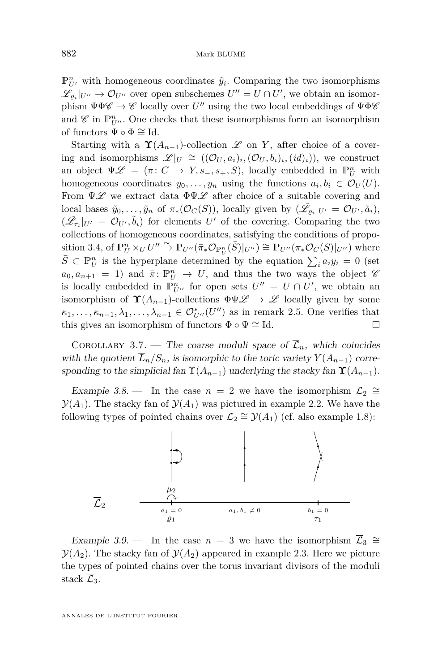<span id="page-20-0"></span> $\mathbb{P}_{U'}^n$  with homogeneous coordinates  $\tilde{y}_i$ . Comparing the two isomorphisms  $\mathscr{L}_{\varrho_i}|_{U''} \to \mathcal{O}_{U''}$  over open subschemes  $U'' = U \cap U'$ , we obtain an isomorphism  $\Psi\Phi\mathscr{C} \to \mathscr{C}$  locally over  $U''$  using the two local embeddings of  $\Psi\Phi\mathscr{C}$ and  $\mathscr C$  in  $\mathbb P^n_{U''}$ . One checks that these isomorphisms form an isomorphism of functors  $\Psi \circ \Phi \cong \mathrm{Id}$ .

Starting with a  $\Upsilon(A_{n-1})$ -collection L on *Y*, after choice of a covering and isomorphisms  $\mathscr{L}|_U \cong ((\mathcal{O}_U, a_i)_i, (\mathcal{O}_U, b_i)_i, (id)_i)$ , we construct an object  $\Psi \mathscr{L} = (\pi : C \to Y, s_-, s_+, S)$ , locally embedded in  $\mathbb{P}^n_U$  with homogeneous coordinates  $y_0, \ldots, y_n$  using the functions  $a_i, b_i \in \mathcal{O}_U(U)$ . From  $\Psi \mathscr{L}$  we extract data  $\Phi \Psi \mathscr{L}$  after choice of a suitable covering and local bases  $\tilde{y}_0, \ldots, \tilde{y}_n$  of  $\pi_*(\mathcal{O}_C(S))$ , locally given by  $(\tilde{\mathscr{L}}_{\varrho_i}|_{U'} = \mathcal{O}_{U'}, \tilde{a}_i)$ ,  $(\tilde{\mathscr{L}}_{\tau_i}|_{U'} = \mathcal{O}_{U'}, \tilde{b}_i)$  for elements  $U'$  of the covering. Comparing the two collections of homogeneous coordinates, satisfying the conditions of propo-sition [3.4,](#page-16-0) of  $\mathbb{P}^n_U \times_U U'' \overset{\sim}{\to} \mathbb{P}_{U''}(\bar{\pi}_* \mathcal{O}_{\mathbb{P}^n_U}(\bar{S})|_{U''}) \cong \mathbb{P}_{U''}(\pi_* \mathcal{O}_C(S)|_{U''})$  where  $\bar{S} \subset \mathbb{P}_{U}^{n}$  is the hyperplane determined by the equation  $\sum_{i} a_{i}y_{i} = 0$  (set  $a_0, a_{n+1} = 1$  and  $\bar{\pi}$ :  $\mathbb{P}_{U}^{n} \to U$ , and thus the two ways the object  $\mathscr{C}_{U}$ is locally embedded in  $\mathbb{P}_{U}^n$  for open sets  $U'' = U \cap U'$ , we obtain an isomorphism of  $\Upsilon(A_{n-1})$ -collections  $\Phi \Psi \mathscr{L} \to \mathscr{L}$  locally given by some  $\kappa_1, \ldots, \kappa_{n-1}, \lambda_1, \ldots, \lambda_{n-1} \in \mathcal{O}_{U''}^*(U'')$  as in remark [2.5.](#page-12-0) One verifies that this gives an isomorphism of functors  $\Phi \circ \Psi \cong \mathrm{Id}$ .

COROLLARY 3.7. — The coarse moduli space of  $\overline{\mathcal{L}}_n$ , which coincides with the quotient  $\overline{L}_n/S_n$ , is isomorphic to the toric variety  $Y(A_{n-1})$  corresponding to the simplicial fan  $\Upsilon(A_{n-1})$  underlying the stacky fan  $\Upsilon(A_{n-1})$ .

Example 3.8. – In the case  $n = 2$  we have the isomorphism  $\overline{\mathcal{L}}_2 \cong$  $\mathcal{Y}(A_1)$ . The stacky fan of  $\mathcal{Y}(A_1)$  was pictured in example [2.2.](#page-10-0) We have the following types of pointed chains over  $\overline{\mathcal{L}}_2 \cong \mathcal{Y}(A_1)$  (cf. also example [1.8\)](#page-8-0):



Example 3.9. – In the case  $n = 3$  we have the isomorphism  $\overline{\mathcal{L}}_3 \cong$  $\mathcal{Y}(A_2)$ . The stacky fan of  $\mathcal{Y}(A_2)$  appeared in example [2.3.](#page-11-0) Here we picture the types of pointed chains over the torus invariant divisors of the moduli stack  $\mathcal{L}_3$ .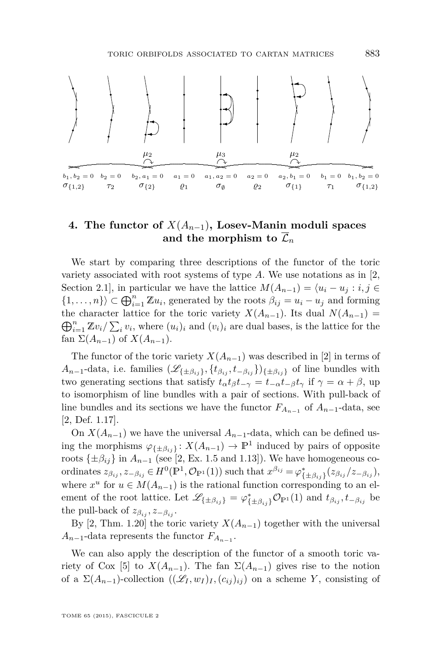<span id="page-21-0"></span>

#### **4. The functor of** *X*(*An*−1)**, Losev-Manin moduli spaces** and the morphism to  $\overline{\mathcal{L}}_n$

We start by comparing three descriptions of the functor of the toric variety associated with root systems of type *A*. We use notations as in [\[2,](#page-38-0) Section 2.1], in particular we have the lattice  $M(A_{n-1}) = \langle u_i - u_j : i, j \in \mathbb{R} \rangle$  $\{1, \ldots, n\}$   $\subset \bigoplus_{i=1}^{n} \mathbb{Z} u_i$ , generated by the roots  $\beta_{ij} = u_i - u_j$  and forming  $\bigoplus_{i=1}^{n} \mathbb{Z}v_i / \sum_i v_i$ , where  $(u_i)_i$  and  $(v_i)_i$  are dual bases, is the lattice for the the character lattice for the toric variety  $X(A_{n-1})$ . Its dual  $N(A_{n-1}) =$ fan  $\Sigma(A_{n-1})$  of  $X(A_{n-1})$ .

The functor of the toric variety  $X(A_{n-1})$  was described in [\[2\]](#page-38-0) in terms of  $A_{n-1}$ -data, i.e. families  $(\mathscr{L}_{\{\pm \beta_{ij}\}}$ ,  $\{t_{\beta_{ij}}, t_{-\beta_{ij}}\}$  af line bundles with two generating sections that satisfy  $t_{\alpha}t_{\beta}t_{-\gamma} = t_{-\alpha}t_{-\beta}t_{\gamma}$  if  $\gamma = \alpha + \beta$ , up to isomorphism of line bundles with a pair of sections. With pull-back of line bundles and its sections we have the functor  $F_{A_{n-1}}$  of  $A_{n-1}$ -data, see [\[2,](#page-38-0) Def. 1.17].

On  $X(A_{n-1})$  we have the universal  $A_{n-1}$ -data, which can be defined using the morphisms  $\varphi_{\{\pm \beta_{ij}\}} : X(A_{n-1}) \to \mathbb{P}^1$  induced by pairs of opposite roots  $\{\pm \beta_{ij}\}\$ in  $A_{n-1}$  (see [\[2,](#page-38-0) Ex. 1.5 and 1.13]). We have homogeneous coordinates  $z_{\beta_{ij}}, z_{-\beta_{ij}} \in H^0(\mathbb{P}^1, \mathcal{O}_{\mathbb{P}^1}(1))$  such that  $x^{\beta_{ij}} = \varphi^*_{\{\pm \beta_{ij}\}}(z_{\beta_{ij}}/z_{-\beta_{ij}})$ , where  $x^u$  for  $u \in M(A_{n-1})$  is the rational function corresponding to an element of the root lattice. Let  $\mathscr{L}_{\{\pm \beta_{ij}\}} = \varphi_{\{\pm \beta_{ij}\}}^* \mathcal{O}_{\mathbb{P}^1}(1)$  and  $t_{\beta_{ij}}, t_{-\beta_{ij}}$  be the pull-back of  $z_{\beta_{ij}}, z_{-\beta_{ij}}$ .

By [\[2,](#page-38-0) Thm. 1.20] the toric variety  $X(A_{n-1})$  together with the universal  $A_{n-1}$ -data represents the functor  $F_{A_{n-1}}$ .

We can also apply the description of the functor of a smooth toric va-riety of Cox [\[5\]](#page-38-0) to  $X(A_{n-1})$ . The fan  $\Sigma(A_{n-1})$  gives rise to the notion of a  $\Sigma(A_{n-1})$ -collection  $((\mathscr{L}_I, w_I)_I, (c_{ij})_{ij})$  on a scheme *Y*, consisting of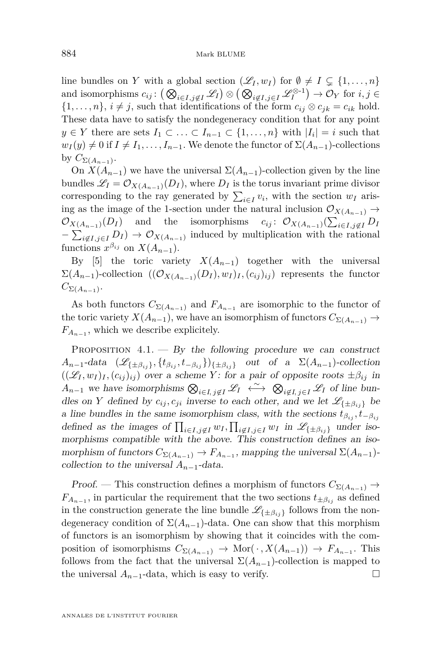<span id="page-22-0"></span>line bundles on *Y* with a global section  $(\mathscr{L}_I, w_I)$  for  $\emptyset \neq I \subseteq \{1, ..., n\}$ and isomorphisms  $c_{ij}$ :  $\left( \bigotimes_{i \in I, j \notin I} \mathscr{L}_I \right) \otimes \left( \bigotimes_{i \notin I, j \in I} \mathscr{L}_I^{\otimes -1} \right) \to \mathcal{O}_Y$  for  $i, j \in I$  $\{1, \ldots, n\}, i \neq j$ , such that identifications of the form  $c_{ij} \otimes c_{jk} = c_{ik}$  hold. These data have to satisfy the nondegeneracy condition that for any point *y* ∈ *Y* there are sets  $I_1$  ⊂  $\ldots$  ⊂  $I_{n-1}$  ⊂  $\{1,\ldots,n\}$  with  $|I_i| = i$  such that  $w_I(y) \neq 0$  if  $I \neq I_1, \ldots, I_{n-1}$ . We denote the functor of  $\Sigma(A_{n-1})$ -collections by  $C_{\Sigma(A_{n-1})}$ .

On  $X(A_{n-1})$  we have the universal  $\Sigma(A_{n-1})$ -collection given by the line bundles  $\mathscr{L}_I = \mathcal{O}_{X(A_{n-1})}(D_I)$ , where  $D_I$  is the torus invariant prime divisor corresponding to the ray generated by  $\sum_{i \in I} v_i$ , with the section  $w_I$  arising as the image of the 1-section under the natural inclusion  $\mathcal{O}_{X(A_{n-1})} \to$  $\mathcal{O}_{X(A_{n-1})}(D_I)$  and the isomorphisms  $c_{ij}: \mathcal{O}_{X(A_{n-1})}(\sum_{i \in I, j \notin I} D_I)$  $-\sum_{i \notin I, j \in I} D_I$   $\to \mathcal{O}_{X(A_{n-1})}$  induced by multiplication with the rational functions  $x^{\beta_{ij}}$  on  $X(A_{n-1})$ .

By [\[5\]](#page-38-0) the toric variety  $X(A_{n-1})$  together with the universal  $\Sigma(A_{n-1})$ -collection  $((\mathcal{O}_{X(A_{n-1})}(D_I), w_I)_I, (c_{ij})_{ij})$  represents the functor  $C_{\Sigma(A_{n-1})}$ .

As both functors  $C_{\Sigma(A_{n-1})}$  and  $F_{A_{n-1}}$  are isomorphic to the functor of the toric variety  $X(A_{n-1})$ , we have an isomorphism of functors  $C_{\Sigma(A_{n-1})} \to$  $F_{A_{n-1}}$ , which we describe explicitely.

PROPOSITION  $4.1.$  – By the following procedure we can construct  $A_{n-1}$ -data  $(\mathscr{L}_{\{\pm \beta_{ij}\}}$ ,  $\{t_{\beta_{ij}}, t_{-\beta_{ij}}\}$  aut of a  $\Sigma(A_{n-1})$ -collection  $((\mathscr{L}_I, w_I)_I, (c_{ij})_{ij})$  over a scheme *Y* : for a pair of opposite roots  $\pm \beta_{ij}$  in  $A_{n-1}$  we have isomorphisms  $\bigotimes_{i \in I, j \notin I} \mathscr{L}_I \stackrel{\sim}{\longleftrightarrow} \bigotimes_{i \notin I, j \in I} \mathscr{L}_I$  of line bundles on *Y* defined by  $c_{ij}, c_{ji}$  inverse to each other, and we let  $\mathscr{L}_{\{\pm \beta_{ij}\}}$  be a line bundles in the same isomorphism class, with the sections  $t_{\beta_{ij}}$ ,  $t_{-\beta_{ij}}$ defined as the images of  $\prod_{i \in I, j \notin I} w_i, \prod_{i \notin I, j \in I} w_i$  in  $\mathscr{L}_{\{\pm \beta_{ij}\}}$  under isomorphisms compatible with the above. This construction defines an isomorphism of functors  $C_{\Sigma(A_{n-1})} \to F_{A_{n-1}}$ , mapping the universal  $\Sigma(A_{n-1})$ collection to the universal *An*−1-data.

Proof. — This construction defines a morphism of functors  $C_{\Sigma(A_{n-1})} \to$  $F_{A_{n-1}}$ , in particular the requirement that the two sections  $t_{\pm\beta_{ij}}$  as defined in the construction generate the line bundle  $\mathscr{L}_{\{\pm \beta_{ij}\}}$  follows from the nondegeneracy condition of  $\Sigma(A_{n-1})$ -data. One can show that this morphism of functors is an isomorphism by showing that it coincides with the composition of isomorphisms  $C_{\Sigma(A_{n-1})} \to \text{Mor}(\cdot, X(A_{n-1})) \to F_{A_{n-1}}$ . This follows from the fact that the universal  $\Sigma(A_{n-1})$ -collection is mapped to the universal  $A_{n-1}$ -data, which is easy to verify.  $□$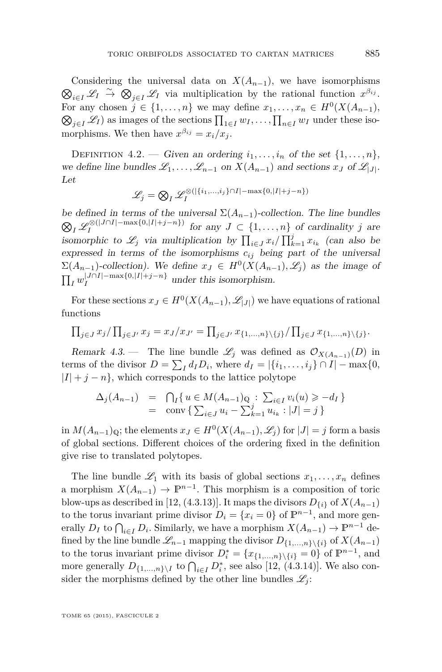<span id="page-23-0"></span> $\bigotimes_{i \in I} \mathscr{L}_I \xrightarrow{\sim} \bigotimes_{j \in I} \mathscr{L}_I$  via multiplication by the rational function  $x^{\beta_{ij}}$ . Considering the universal data on  $X(A_{n-1})$ , we have isomorphisms For any chosen  $j \in \{1, \ldots, n\}$  we may define  $x_1, \ldots, x_n \in H^0(X(A_{n-1}),$  $\bigotimes_{j\in I} \mathscr{L}_I$  as images of the sections  $\prod_{1\in I} w_I, \ldots, \prod_{n\in I} w_I$  under these isomorphisms. We then have  $x^{\beta_{ij}} = x_i/x_j$ .

DEFINITION 4.2. — Given an ordering  $i_1, \ldots, i_n$  of the set  $\{1, \ldots, n\}$ , we define line bundles  $\mathscr{L}_1, \ldots, \mathscr{L}_{n-1}$  on  $X(A_{n-1})$  and sections  $x_J$  of  $\mathscr{L}_{|J|}$ . Let

$$
\mathcal{L}_j = \bigotimes_I \mathcal{L}_I^{\otimes (|\{i_1, \ldots, i_j\} \cap I| - \max\{0, |I| + j - n\})}
$$

be defined in terms of the universal  $\Sigma(A_{n-1})$ -collection. The line bundles  $\bigotimes_I \mathscr{L}_I^{\otimes (|J \cap I| - \max\{0, |I| + j - n\})}$ *I* for any *J* ⊂ {1*, . . . , n*} of cardinality *j* are isomorphic to  $\mathscr{L}_j$  via multiplication by  $\prod_{i \in J} x_i / \prod_{k=1}^j x_{i_k}$  (can also be expressed in terms of the isomorphisms  $c_{ij}$  being part of the universal  $\Sigma(A_{n-1})$ -collection). We define  $x_J \in H^0(X(A_{n-1}), \mathscr{L}_j)$  as the image of  $\prod_I w_I^{|J \cap I| - \max\{0, |I| + j - n\}}$  $I$ <sup>I</sup> $I$ <sup>1</sup> $I$ <sup>1</sup> $I$ </sup> $I$ <sup> $+J$ </sup> $I$ <sup> $+J$ </sup> $I$ <sup>3</sup> $I$ </sup> under this isomorphism.

For these sections  $x_J \in H^0(X(A_{n-1}), \mathscr{L}_{|J|})$  we have equations of rational functions

$$
\prod_{j\in J} x_j/\prod_{j\in J'} x_j = x_J/x_{J'} = \prod_{j\in J'} x_{\{1,\ldots,n\}\setminus\{j\}}/\prod_{j\in J} x_{\{1,\ldots,n\}\setminus\{j\}}.
$$

Remark 4.3. — The line bundle  $\mathscr{L}_j$  was defined as  $\mathcal{O}_{X(A_{n-1})}(D)$  in terms of the divisor  $D = \sum_{I} d_I D_i$ , where  $d_I = |\{i_1, \ldots, i_j\} \cap I| - \max\{0,$  $|I| + j - n$ , which corresponds to the lattice polytope

$$
\Delta_j(A_{n-1}) = \bigcap_I \{ u \in M(A_{n-1})_{\mathbb{Q}} : \sum_{i \in I} v_i(u) \geq -d_I \}
$$
  
= 
$$
\text{conv} \{ \sum_{i \in J} u_i - \sum_{k=1}^j u_{i_k} : |J| = j \}
$$

in  $M(A_{n-1})$ <sub>Q</sub>; the elements  $x_J$  ∈  $H^0(X(A_{n-1}), \mathscr{L}_j)$  for  $|J| = j$  form a basis of global sections. Different choices of the ordering fixed in the definition give rise to translated polytopes.

The line bundle  $\mathscr{L}_1$  with its basis of global sections  $x_1, \ldots, x_n$  defines a morphism  $X(A_{n-1}) \to \mathbb{P}^{n-1}$ . This morphism is a composition of toric blow-ups as described in [\[12,](#page-39-0) (4.3.13)]. It maps the divisors  $D_{\{i\}}$  of  $X(A_{n-1})$ to the torus invariant prime divisor  $D_i = \{x_i = 0\}$  of  $\mathbb{P}^{n-1}$ , and more generally  $D_I$  to  $\bigcap_{i \in I} D_i$ . Similarly, we have a morphism  $X(A_{n-1}) \to \mathbb{P}^{n-1}$  defined by the line bundle  $\mathscr{L}_{n-1}$  mapping the divisor  $D_{\{1,\ldots,n\}\setminus\{i\}}$  of  $X(A_{n-1})$ to the torus invariant prime divisor  $D_i^* = \{x_{\{1,\ldots,n\}\setminus\{i\}} = 0\}$  of  $\mathbb{P}^{n-1}$ , and more generally  $D_{\{1,\ldots,n\}\setminus I}$  to  $\bigcap_{i\in I} D_i^*$ , see also [\[12,](#page-39-0) (4.3.14)]. We also consider the morphisms defined by the other line bundles  $\mathcal{L}_i$ :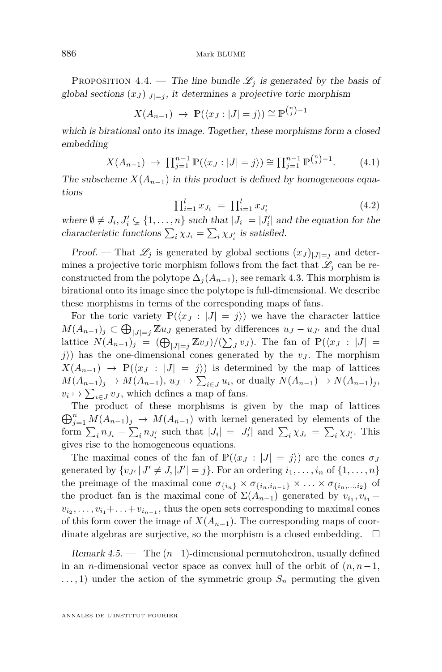<span id="page-24-0"></span>PROPOSITION 4.4. — The line bundle  $\mathcal{L}_j$  is generated by the basis of global sections  $(x_J)_{|J|=j}$ , it determines a projective toric morphism

$$
X(A_{n-1}) \rightarrow \mathbb{P}(\langle x_J : |J| = j \rangle) \cong \mathbb{P}^{\binom{n}{j}-1}
$$

which is birational onto its image. Together, these morphisms form a closed embedding

$$
X(A_{n-1}) \to \prod_{j=1}^{n-1} \mathbb{P}(\langle x_j : |J| = j \rangle) \cong \prod_{j=1}^{n-1} \mathbb{P}^{\binom{n}{j}-1}.
$$
 (4.1)

The subscheme  $X(A_{n-1})$  in this product is defined by homogeneous equations

$$
\prod_{i=1}^{l} x_{J_i} = \prod_{i=1}^{l} x_{J'_i}
$$
\n(4.2)

where  $\emptyset \neq J_i$ ,  $J'_i \subsetneq \{1, ..., n\}$  such that  $|J_i| = |J'_i|$  and the equation for the characteristic functions  $\sum_i \chi_{J_i} = \sum_i \chi_{J_i'}$  is satisfied.

Proof. — That  $\mathscr{L}_i$  is generated by global sections  $(x_J)_{|J|=i}$  and determines a projective toric morphism follows from the fact that  $\mathscr{L}_i$  can be reconstructed from the polytope  $\Delta_i(A_{n-1})$ , see remark [4.3.](#page-23-0) This morphism is birational onto its image since the polytope is full-dimensional. We describe these morphisms in terms of the corresponding maps of fans.

For the toric variety  $\mathbb{P}(\langle x_j : |J| = j \rangle)$  we have the character lattice  $M(A_{n-1})$ *j* ⊂  $\bigoplus_{|J|=j} \mathbb{Z} u_J$  generated by differences  $u_J - u_{J'}$  and the dual  $\text{lattice } N(A_{n-1})_j = (\bigoplus_{|J|=j} \mathbb{Z} v_J) / (\sum_J v_J)$ . The fan of  $\mathbb{P}(\langle x_J : |J| = j_J)$ *j*) has the one-dimensional cones generated by the  $v_J$ . The morphism  $X(A_{n-1}) \rightarrow \mathbb{P}(\langle x_j : |J| = j \rangle)$  is determined by the map of lattices  $M(A_{n-1})_j \to M(A_{n-1})$ ,  $u_J \mapsto \sum_{i \in J} u_i$ , or dually  $N(A_{n-1}) \to N(A_{n-1})_j$ ,  $v_i \mapsto \sum_{i \in J} v_J$ , which defines a map of fans.

 $\bigoplus_{j=1}^n M(A_{n-1})_j \to M(A_{n-1})$  with kernel generated by elements of the The product of these morphisms is given by the map of lattices form  $\sum_i n_{J_i} - \sum_i n_{J'_i}$  such that  $|J_i| = |J'_i|$  and  $\sum_i \chi_{J_i} = \sum_i \chi_{J'_i}$ . This gives rise to the homogeneous equations.

The maximal cones of the fan of  $\mathbb{P}(\langle x_j : |J| = j \rangle)$  are the cones  $\sigma_J$ generated by  $\{v_{J'} | J' \neq J, |J'| = j\}$ . For an ordering  $i_1, \ldots, i_n$  of  $\{1, \ldots, n\}$ the preimage of the maximal cone  $\sigma_{\{i_n\}} \times \sigma_{\{i_n, i_{n-1}\}} \times \ldots \times \sigma_{\{i_n, ..., i_2\}}$  of the product fan is the maximal cone of  $\Sigma(A_{n-1})$  generated by  $v_{i_1}, v_{i_1}$  +  $v_{i_2}, \ldots, v_{i_1} + \ldots + v_{i_{n-1}}$ , thus the open sets corresponding to maximal cones of this form cover the image of  $X(A_{n-1})$ . The corresponding maps of coordinate algebras are surjective, so the morphism is a closed embedding.  $\Box$ 

Remark 4.5. — The (*n*−1)-dimensional permutohedron, usually defined in an *n*-dimensional vector space as convex hull of the orbit of  $(n, n-1)$ ,  $\dots$ , 1) under the action of the symmetric group  $S_n$  permuting the given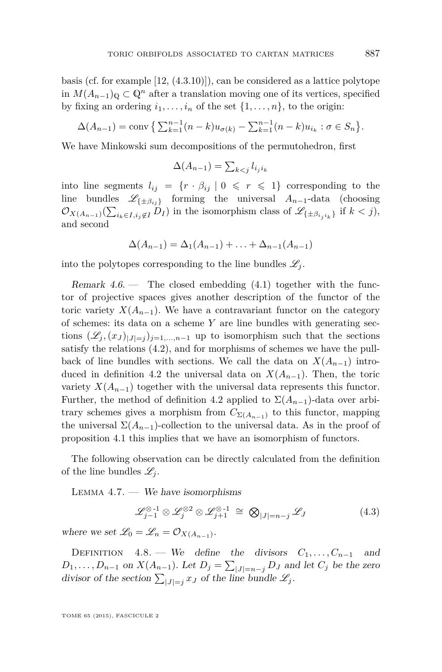<span id="page-25-0"></span>basis (cf. for example [\[12,](#page-39-0) (4.3.10)]), can be considered as a lattice polytope in  $M(A_{n-1})$ <sub>Q</sub> ⊂  $\mathbb{Q}^n$  after a translation moving one of its vertices, specified by fixing an ordering  $i_1, \ldots, i_n$  of the set  $\{1, \ldots, n\}$ , to the origin:

$$
\Delta(A_{n-1}) = \text{conv}\left\{\sum_{k=1}^{n-1} (n-k)u_{\sigma(k)} - \sum_{k=1}^{n-1} (n-k)u_{i_k} : \sigma \in S_n\right\}.
$$

We have Minkowski sum decompositions of the permutohedron, first

$$
\Delta(A_{n-1}) = \sum_{k < j} l_{i_j i_k}
$$

into line segments  $l_{ij} = \{r \cdot \beta_{ij} | 0 \leq r \leq 1\}$  corresponding to the line bundles  $\mathscr{L}_{\{\pm \beta_{ii}\}}$  forming the universal  $A_{n-1}$ -data (choosing  $\mathcal{O}_{X(A_{n-1})}(\sum_{i_k \in I, i_j \notin I} D_I)$  in the isomorphism class of  $\mathscr{L}_{\{\pm \beta_{i_j i_k}\}}$  if  $k < j$ ), and second

$$
\Delta(A_{n-1}) = \Delta_1(A_{n-1}) + \ldots + \Delta_{n-1}(A_{n-1})
$$

into the polytopes corresponding to the line bundles  $\mathscr{L}_i$ .

Remark  $4.6.$  — The closed embedding  $(4.1)$  together with the functor of projective spaces gives another description of the functor of the toric variety  $X(A_{n-1})$ . We have a contravariant functor on the category of schemes: its data on a scheme *Y* are line bundles with generating sections  $(\mathscr{L}_j, (x_j)_{|J|=j})_{j=1,\dots,n-1}$  up to isomorphism such that the sections satisfy the relations [\(4.2\)](#page-24-0), and for morphisms of schemes we have the pullback of line bundles with sections. We call the data on  $X(A_{n-1})$  intro-duced in definition [4.2](#page-23-0) the universal data on  $X(A_{n-1})$ . Then, the toric variety  $X(A_{n-1})$  together with the universal data represents this functor. Further, the method of definition [4.2](#page-23-0) applied to  $\Sigma(A_{n-1})$ -data over arbitrary schemes gives a morphism from  $C_{\Sigma(A_{n-1})}$  to this functor, mapping the universal  $\Sigma(A_{n-1})$ -collection to the universal data. As in the proof of proposition [4.1](#page-22-0) this implies that we have an isomorphism of functors.

The following observation can be directly calculated from the definition of the line bundles  $\mathscr{L}_i$ .

LEMMA  $4.7.$  — We have isomorphisms

$$
\mathcal{L}_{j-1}^{\otimes 1} \otimes \mathcal{L}_j^{\otimes 2} \otimes \mathcal{L}_{j+1}^{\otimes 1} \cong \bigotimes_{|J|=n-j} \mathcal{L}_J \tag{4.3}
$$

where we set  $\mathcal{L}_0 = \mathcal{L}_n = \mathcal{O}_{X(A_{n-1})}$ .

DEFINITION 4.8. — We define the divisors  $C_1, \ldots, C_{n-1}$  and  $D_1, \ldots, D_{n-1}$  on  $X(A_{n-1})$ . Let  $D_j = \sum_{|J|=n-j} D_J$  and let  $C_j$  be the zero divisor of the section  $\sum_{|J|=j} x_J$  of the line bundle  $\mathscr{L}_j$ .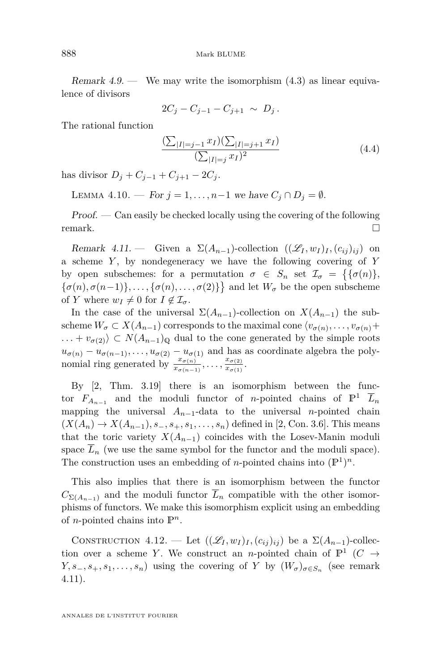<span id="page-26-0"></span>Remark  $4.9.$  — We may write the isomorphism  $(4.3)$  as linear equivalence of divisors

$$
2C_j - C_{j-1} - C_{j+1} \sim D_j.
$$

The rational function

$$
\frac{\left(\sum_{|I|=j-1} x_I\right)\left(\sum_{|I|=j+1} x_I\right)}{\left(\sum_{|I|=j} x_I\right)^2} \tag{4.4}
$$

has divisor  $D_i + C_{i-1} + C_{i+1} - 2C_i$ .

LEMMA 4.10. — For  $j = 1, ..., n-1$  we have  $C_j ∩ D_j = ∅$ .

Proof. — Can easily be checked locally using the covering of the following remark.

Remark 4.11. — Given a  $\Sigma(A_{n-1})$ -collection  $((\mathscr{L}_I, w_I)_I, (c_{ij})_{ij})$  on a scheme *Y* , by nondegeneracy we have the following covering of *Y* by open subschemes: for a permutation  $\sigma \in S_n$  set  $\mathcal{I}_{\sigma} = \{ \{\sigma(n) \}, \sigma(n) \}$  $\{\sigma(n), \sigma(n-1)\}, \ldots, \{\sigma(n), \ldots, \sigma(2)\}\}\$ and let  $W_{\sigma}$  be the open subscheme of *Y* where  $w_I \neq 0$  for  $I \notin \mathcal{I}_{\sigma}$ .

In the case of the universal  $\Sigma(A_{n-1})$ -collection on  $X(A_{n-1})$  the subscheme  $W_{\sigma} \subset X(A_{n-1})$  corresponds to the maximal cone  $\langle v_{\sigma(n)}, \ldots, v_{\sigma(n)} \rangle +$  $\ldots + v_{\sigma(2)} \subset N(A_{n-1})_{\mathbb{Q}}$  dual to the cone generated by the simple roots  $u_{\sigma(n)} - u_{\sigma(n-1)}, \ldots, u_{\sigma(2)} - u_{\sigma(1)}$  and has as coordinate algebra the polynomial ring generated by  $\frac{x_{\sigma(n)}}{x_{\sigma(n-1)}}, \ldots, \frac{x_{\sigma(2)}}{x_{\sigma(1)}}$  $\frac{x_{\sigma(2)}}{x_{\sigma(1)}}$ .

By [\[2,](#page-38-0) Thm. 3.19] there is an isomorphism between the functor  $F_{A_{n-1}}$  and the moduli functor of *n*-pointed chains of  $\mathbb{P}^1$   $\overline{L}_n$ mapping the universal  $A_{n-1}$ -data to the universal *n*-pointed chain  $(X(A_n) \to X(A_{n-1}), s_-, s_+, s_1, \ldots, s_n)$  defined in [\[2,](#page-38-0) Con. 3.6]. This means that the toric variety  $X(A_{n-1})$  coincides with the Losev-Manin moduli space  $L_n$  (we use the same symbol for the functor and the moduli space). The construction uses an embedding of *n*-pointed chains into  $(\mathbb{P}^1)^n$ .

This also implies that there is an isomorphism between the functor  $C_{\Sigma(A_{n-1})}$  and the moduli functor  $\overline{L}_n$  compatible with the other isomorphisms of functors. We make this isomorphism explicit using an embedding of *n*-pointed chains into  $\mathbb{P}^n$ .

CONSTRUCTION 4.12. — Let  $((\mathscr{L}_I, w_I)_I, (c_{ij})_{ij})$  be a  $\Sigma(A_{n-1})$ -collection over a scheme *Y*. We construct an *n*-pointed chain of  $\mathbb{P}^1$  (*C*  $\rightarrow$ *Y*, *s*<sub>-</sub>*, s*<sub>+</sub>*, s*<sub>1</sub>*, ..., s<sub>n</sub>*) using the covering of *Y* by  $(W_{\sigma})_{\sigma \in S_n}$  (see remark 4.11).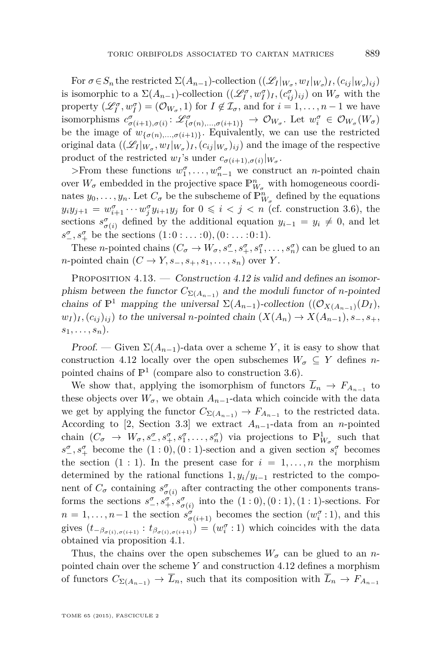<span id="page-27-0"></span> $\text{For } \sigma \in S_n \text{ the restricted } \Sigma(A_{n-1})\text{-collection }((\mathscr{L}_I|_{W_\sigma}, w_I|_{W_\sigma})_I, (c_{ij}|_{W_\sigma})_{ij})$ is isomorphic to a  $\Sigma(A_{n-1})$ -collection  $((\mathscr{L}_I^{\sigma}, w_I^{\sigma})_I, (c_{ij}^{\sigma})_{ij})$  on  $W_{\sigma}$  with the property  $(\mathscr{L}_I^{\sigma}, w_I^{\sigma}) = (\mathcal{O}_{W_{\sigma}}, 1)$  for  $I \notin \mathcal{I}_{\sigma}$ , and for  $i = 1, \ldots, n - 1$  we have isomorphisms  $c^{\sigma}_{\sigma(i+1),\sigma(i)}: \mathscr{L}^{\sigma}_{\{\sigma(n),\ldots,\sigma(i+1)\}} \to \mathcal{O}_{W_{\sigma}}$ . Let  $w^{\sigma}_i \in \mathcal{O}_{W_{\sigma}}(W_{\sigma})$ be the image of  $w_{\{\sigma(n),\dots,\sigma(i+1)\}}$ . Equivalently, we can use the restricted original data  $((\mathscr{L}_I|_{W_\sigma}, w_I|_{W_\sigma})_I, (c_{ij}|_{W_\sigma})_{ij})$  and the image of the respective product of the restricted  $w_I$ 's under  $c_{\sigma(i+1),\sigma(i)}|_{W_{\sigma}}$ .

>From these functions  $w_1^{\sigma}, \ldots, w_{n-1}^{\sigma}$  we construct an *n*-pointed chain over  $W_{\sigma}$  embedded in the projective space  $\mathbb{P}^n_{W_{\sigma}}$  with homogeneous coordinates  $y_0, \ldots, y_n$ . Let  $C_{\sigma}$  be the subscheme of  $\mathbb{P}_{W_{\sigma}}^n$  defined by the equations  $y_i y_{j+1} = w_{i+1}^{\sigma} \cdots w_j^{\sigma} y_{i+1} y_j$  for  $0 \leq i < j < n$  (cf. construction [3.6\)](#page-18-0), the sections  $s^{\sigma}_{\sigma(i)}$  defined by the additional equation  $y_{i-1} = y_i \neq 0$ , and let *s*<sup>*σ*</sup><sub>*-*</sub>, *s*<sup>*σ*</sup><sub>*f*</sub> be the sections  $(1:0:...:0), (0:...:0:1)$ .

These *n*-pointed chains  $(C_{\sigma} \to W_{\sigma}, s^{\sigma}_{-}, s^{\sigma}_{+}, s^{\sigma}_{1}, \dots, s^{\sigma}_{n})$  can be glued to an *n*-pointed chain  $(C \rightarrow Y, s_-, s_+, s_1, \ldots, s_n)$  over *Y*.

PROPOSITION 4.13. — Construction [4.12](#page-26-0) is valid and defines an isomorphism between the functor  $C_{\Sigma(A_{n-1})}$  and the moduli functor of *n*-pointed chains of  $\mathbb{P}^1$  mapping the universal  $\Sigma(A_{n-1})$ -collection  $((\mathcal{O}_{X(A_{n-1})}(D_I)),$  $w_I$ ,  $(c_{ij})_{ij}$  to the universal *n*-pointed chain  $(X(A_n) \to X(A_{n-1}), s_-, s_+, s_+$  $s_1, \ldots, s_n$ ).

Proof. — Given  $\Sigma(A_{n-1})$ -data over a scheme *Y*, it is easy to show that construction [4.12](#page-26-0) locally over the open subschemes  $W_{\sigma} \subseteq Y$  defines *n*pointed chains of  $\mathbb{P}^1$  (compare also to construction [3.6\)](#page-18-0).

We show that, applying the isomorphism of functors  $L_n \to F_{A_{n-1}}$  to these objects over  $W_{\sigma}$ , we obtain  $A_{n-1}$ -data which coincide with the data we get by applying the functor  $C_{\Sigma(A_{n-1})} \to F_{A_{n-1}}$  to the restricted data. According to [\[2,](#page-38-0) Section 3.3] we extract  $A_{n-1}$ -data from an *n*-pointed chain  $(C_{\sigma} \rightarrow W_{\sigma}, s^{\sigma}_{-}, s^{\sigma}_{+}, s^{\sigma}_{1}, \ldots, s^{\sigma}_{n})$  via projections to  $\mathbb{P}^1_{W_{\sigma}}$  such that  $s^{\sigma}_{-}, s^{\sigma}_{+}$  become the  $(1:0), (0:1)$ -section and a given section  $s^{\sigma}_{i}$  becomes the section  $(1 : 1)$ . In the present case for  $i = 1, \ldots, n$  the morphism determined by the rational functions  $1, y_i/y_{i-1}$  restricted to the component of  $C_{\sigma}$  containing  $s^{\sigma}_{\sigma(i)}$  after contracting the other components transforms the sections  $s^{\sigma}_{-}, s^{\sigma}_{+}, s^{\sigma}_{\sigma(i)}$  into the  $(1:0), (0:1), (1:1)$ -sections. For  $n = 1, \ldots, n-1$  the section  $s^{\sigma}_{\sigma(i+1)}$  becomes the section  $(w_i^{\sigma}:1)$ , and this gives  $(t_{-\beta_{\sigma(i),\sigma(i+1)}} : t_{\beta_{\sigma(i),\sigma(i+1)}}) = (w_i^{\sigma}:1)$  which coincides with the data obtained via proposition [4.1.](#page-22-0)

Thus, the chains over the open subschemes  $W_{\sigma}$  can be glued to an *n*pointed chain over the scheme *Y* and construction [4.12](#page-26-0) defines a morphism of functors  $C_{\Sigma(A_{n-1})} \to \overline{L}_n$ , such that its composition with  $\overline{L}_n \to F_{A_{n-1}}$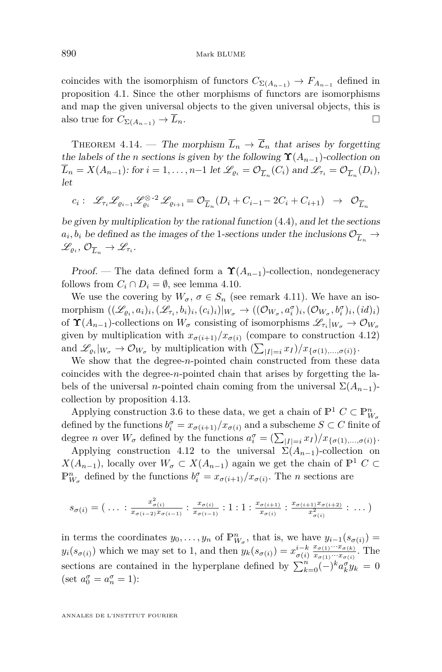<span id="page-28-0"></span>coincides with the isomorphism of functors  $C_{\Sigma(A_{n-1})} \to F_{A_{n-1}}$  defined in proposition [4.1.](#page-22-0) Since the other morphisms of functors are isomorphisms and map the given universal objects to the given universal objects, this is also true for  $C_{\Sigma(A_{n-1})} \to \overline{L}_n$ .

THEOREM 4.14. — The morphism  $\overline{L}_n \to \overline{\mathcal{L}}_n$  that arises by forgetting the labels of the *n* sections is given by the following  $\Upsilon(A_{n-1})$ -collection on  $L_n = X(A_{n-1})$ : for  $i = 1, ..., n-1$  let  $\mathscr{L}_{\varrho_i} = \mathcal{O}_{\overline{L}_n}(C_i)$  and  $\mathscr{L}_{\tau_i} = \mathcal{O}_{\overline{L}_n}(D_i)$ , let

$$
c_i: \ \mathscr{L}_{\tau_i} \mathscr{L}_{\varrho_{i-1}} \mathscr{L}_{\varrho_i}^{\otimes -2} \mathscr{L}_{\varrho_{i+1}} = \mathcal{O}_{\overline{L}_n} (D_i + C_{i-1} - 2C_i + C_{i+1}) \rightarrow \ \mathcal{O}_{\overline{L}_n}
$$

be given by multiplication by the rational function [\(4.4\)](#page-26-0), and let the sections  $a_i, b_i$  be defined as the images of the 1-sections under the inclusions  $\mathcal{O}_{\overline{L}_n} \to$  $\mathscr{L}_{\varrho_i}, \mathcal{O}_{\overline{L}_n} \to \mathscr{L}_{\tau_i}.$ 

Proof. — The data defined form a  $\Upsilon(A_{n-1})$ -collection, nondegeneracy follows from  $C_i \cap D_i = \emptyset$ , see lemma [4.10.](#page-26-0)

We use the covering by  $W_{\sigma}$ ,  $\sigma \in S_n$  (see remark [4.11\)](#page-26-0). We have an isomorphism  $((\mathscr{L}_{\varrho_i}, a_i)_i, (\mathscr{L}_{\tau_i}, b_i)_i, (c_i)_i)|_{W_\sigma} \to ((\mathcal{O}_{W_\sigma}, a_i^{\sigma})_i, (\mathcal{O}_{W_\sigma}, b_i^{\sigma})_i, (id)_i)$ of  $\Upsilon(A_{n-1})$ -collections on  $W_{\sigma}$  consisting of isomorphisms  $\mathscr{L}_{\tau_i}|_{W_{\sigma}} \to \mathcal{O}_{W_{\sigma}}$ given by multiplication with  $x_{\sigma(i+1)}/x_{\sigma(i)}$  (compare to construction [4.12\)](#page-26-0) and  $\mathscr{L}_{\varrho_i}|_{W_{\sigma}} \to \mathcal{O}_{W_{\sigma}}$  by multiplication with  $\left(\sum_{|I|=i} x_I\right)/x_{\{\sigma(1),\dots,\sigma(i)\}}.$ 

We show that the degree-*n*-pointed chain constructed from these data coincides with the degree-*n*-pointed chain that arises by forgetting the labels of the universal *n*-pointed chain coming from the universal  $\Sigma(A_{n-1})$ collection by proposition [4.13.](#page-27-0)

Applying construction [3.6](#page-18-0) to these data, we get a chain of  $\mathbb{P}^1$  *C*  $\subset \mathbb{P}_{W_{\sigma}}^n$ defined by the functions  $b_i^{\sigma} = x_{\sigma(i+1)}/x_{\sigma(i)}$  and a subscheme  $S \subset C$  finite of degree *n* over  $W_{\sigma}$  defined by the functions  $a_i^{\sigma} = \left(\sum_{|I|=i} x_I\right) / x_{\{\sigma(1),\dots,\sigma(i)\}}.$ 

Applying construction [4.12](#page-26-0) to the universal  $\Sigma(A_{n-1})$ -collection on *X*(*A*<sub>*n*−1</sub>), locally over  $W_{\sigma} \subset X(A_{n-1})$  again we get the chain of  $\mathbb{P}^1$  *C* ⊂  $\mathbb{P}_{W_{\sigma}}^n$  defined by the functions  $b_i^{\sigma} = x_{\sigma(i+1)}/x_{\sigma(i)}$ . The *n* sections are

$$
s_{\sigma(i)} = (\ldots : \frac{x_{\sigma(i)}}{x_{\sigma(i-2)}x_{\sigma(i-1)}} : \frac{x_{\sigma(i)}}{x_{\sigma(i-1)}} : 1 : 1 : \frac{x_{\sigma(i+1)}}{x_{\sigma(i)}} : \frac{x_{\sigma(i+1)}x_{\sigma(i+2)}}{x_{\sigma(i)}^2} : \ldots)
$$

in terms the coordinates  $y_0, \ldots, y_n$  of  $\mathbb{P}_{W_\sigma}^n$ , that is, we have  $y_{i-1}(s_{\sigma(i)}) =$  $y_i(s_{\sigma(i)})$  which we may set to 1, and then  $y_k(s_{\sigma(i)}) = x_{\sigma(i)}^{i-k}$  $x_{\sigma(1)} \cdots x_{\sigma(k)}$  $\frac{x_{\sigma(1)} \cdots x_{\sigma(k)}}{x_{\sigma(1)} \cdots x_{\sigma(i)}}$ . The sections are contained in the hyperplane defined by  $\sum_{k=0}^{n}(-)^{k}a_{k}^{\sigma}y_{k} = 0$ (set  $a_0^{\sigma} = a_n^{\sigma} = 1$ ):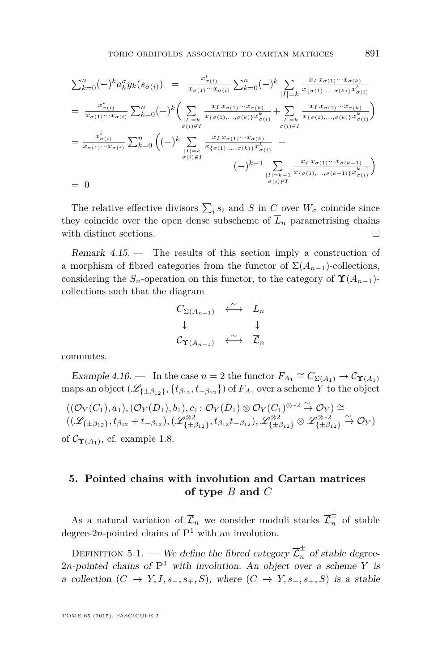<span id="page-29-0"></span>
$$
\sum_{k=0}^{n} (-)^{k} a_{k}^{\sigma} y_{k}(s_{\sigma(i)}) = \frac{x_{\sigma(i)}^{i}}{x_{\sigma(1)} \cdots x_{\sigma(i)}} \sum_{k=0}^{n} (-)^{k} \sum_{|I|=k} \frac{x_{I} x_{\sigma(1)} \cdots x_{\sigma(k)}}{x_{\{\sigma(1), \ldots, \sigma(k)\}} x_{\sigma(i)}^{k}}
$$
\n
$$
= \frac{x_{\sigma(i)}^{i}}{x_{\sigma(1)} \cdots x_{\sigma(i)}} \sum_{k=0}^{n} (-)^{k} \Biggl( \sum_{\substack{|I|=k \ \sigma(i) \neq I}} \frac{x_{I} x_{\sigma(1)} \cdots x_{\sigma(k)}}{x_{\{\sigma(1), \ldots, \sigma(k)\}} x_{\sigma(i)}^{k}} + \sum_{\substack{|I|=k \ \sigma(i) \in I}} \frac{x_{I} x_{\sigma(1)} \cdots x_{\sigma(k)}}{x_{\{\sigma(1), \ldots, \sigma(k)\}} x_{\sigma(i)}^{k}} \Biggr)
$$
\n
$$
= \frac{x_{\sigma(i)}^{i}}{x_{\sigma(1)} \cdots x_{\sigma(i)}} \sum_{k=0}^{n} \Biggl( (-)^{k} \sum_{\substack{|I|=k \ \sigma(i) \neq I}} \frac{x_{I} x_{\sigma(1)} \cdots x_{\sigma(k)}}{x_{\{\sigma(1), \ldots, \sigma(k)\}} x_{\sigma(i)}^{k}} - (-)^{k-1} \sum_{\substack{|I|=k \ \sigma(i) \neq I}} \frac{x_{I} x_{\sigma(1)} \cdots x_{\sigma(k-1)}}{x_{\{\sigma(1), \ldots, \sigma(k-1)\}} x_{\sigma(i)}^{k-1}} \Biggr)
$$
\n
$$
= 0
$$

The relative effective divisors  $\sum_i s_i$  and *S* in *C* over  $W_{\sigma}$  coincide since they coincide over the open dense subscheme of  $\overline{L}_n$  parametrising chains with distinct sections.

Remark  $4.15.$  – The results of this section imply a construction of a morphism of fibred categories from the functor of  $\Sigma(A_{n-1})$ -collections, considering the  $S_n$ -operation on this functor, to the category of  $\Upsilon(A_{n-1})$ collections such that the diagram

$$
C_{\Sigma(A_{n-1})} \leftrightarrow \overline{L}_n
$$
  
\n
$$
\downarrow \qquad \qquad \downarrow
$$
  
\n
$$
C_{\Upsilon(A_{n-1})} \leftrightarrow \overline{L}_n
$$

commutes.

Example 4.16. — In the case  $n = 2$  the functor  $F_{A_1} \cong C_{\Sigma(A_1)} \to C_{\Upsilon(A_1)}$ maps an object  $(\mathscr{L}_{\{\pm \beta_{12}\}}, \{t_{\beta_{12}}, t_{-\beta_{12}}\})$  of  $F_{A_1}$  over a scheme  $Y$  to the object

$$
((\mathcal{O}_Y(C_1), a_1), (\mathcal{O}_Y(D_1), b_1), c_1: \mathcal{O}_Y(D_1) \otimes \mathcal{O}_Y(C_1)^{\otimes -2} \overset{\sim}{\to} \mathcal{O}_Y) \cong ((\mathscr{L}_{\{\pm \beta_{12}\}}, t_{\beta_{12}} + t_{-\beta_{12}}), (\mathscr{L}_{\{\pm \beta_{12}\}}^{\otimes 2}, t_{\beta_{12}} t_{-\beta_{12}}), \mathscr{L}_{\{\pm \beta_{12}\}}^{\otimes 2} \otimes \mathscr{L}_{\{\pm \beta_{12}\}}^{\otimes -2} \overset{\sim}{\to} \mathcal{O}_Y)
$$
 of  $\mathcal{C}_{\Upsilon(A_1)}$ , cf. example 1.8.

#### **5. Pointed chains with involution and Cartan matrices of type** *B* **and** *C*

As a natural variation of  $\overline{\mathcal{L}}_n$  we consider moduli stacks  $\overline{\mathcal{L}}_n^{\pm}$  of stable degree-2*n*-pointed chains of  $\mathbb{P}^1$  with an involution.

DEFINITION 5.1. — We define the fibred category  $\overline{\mathcal{L}}_n^{\pm}$  of stable degree-2*n*-pointed chains of  $\mathbb{P}^1$  with involution. An object over a scheme *Y* is a collection  $(C \to Y, I, s_-, s_+, S)$ , where  $(C \to Y, s_-, s_+, S)$  is a stable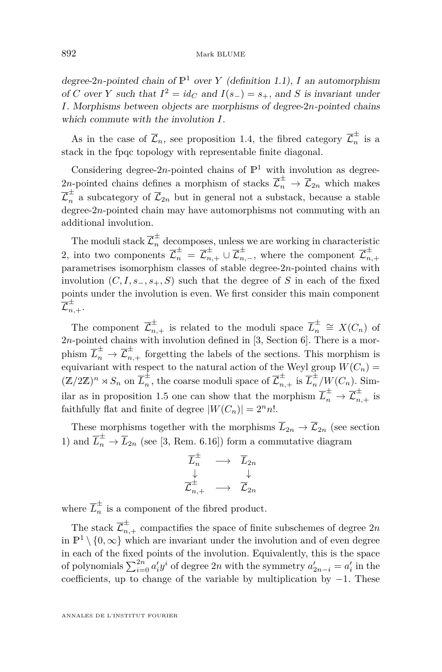degree-2*n*-pointed chain of  $\mathbb{P}^1$  over *Y* (definition [1.1\)](#page-4-0), *I* an automorphism of *C* over *Y* such that  $I^2 = id_C$  and  $I(s_-) = s_+$ , and *S* is invariant under *I*. Morphisms between objects are morphisms of degree-2*n*-pointed chains which commute with the involution *I*.

As in the case of  $\overline{\mathcal{L}}_n$ , see proposition [1.4,](#page-5-0) the fibred category  $\overline{\mathcal{L}}_n^{\pm}$  $\frac{1}{n}$  is a stack in the fpqc topology with representable finite diagonal.

Considering degree-2*n*-pointed chains of  $\mathbb{P}^1$  with involution as degree-2*n*-pointed chains defines a morphism of stacks  $\overline{\mathcal{L}}_n^{\pm} \to \overline{\mathcal{L}}_{2n}$  which makes  $\overline{\mathcal{L}}_n^{\pm}$  a subcategory of  $\overline{\mathcal{L}}_{2n}$  but in general not a substack, because a stable degree-2*n*-pointed chain may have automorphisms not commuting with an additional involution.

The moduli stack  $\mathcal{L}_n^{\pm}$  decomposes, unless we are working in characteristic 2, into two components  $\overline{\mathcal{L}}_n^{\pm} = \overline{\mathcal{L}}_{n,+}^{\pm} \cup \overline{\mathcal{L}}_{n,-}^{\pm}$ , where the component  $\overline{\mathcal{L}}_n^{\pm}$ *n,*+ parametrises isomorphism classes of stable degree-2*n*-pointed chains with involution  $(C, I, s_-, s_+, S)$  such that the degree of S in each of the fixed points under the involution is even. We first consider this main component  $\overline{\mathcal L}_{n,+}^\pm.$ 

The component  $\overline{\mathcal{L}}_{n,+}^{\pm}$  is related to the moduli space  $\overline{L}_n^{\pm}$  $\frac{+}{n}$  ≅ *X*(*C<sub>n</sub>*) of  $2n$ -pointed chains with involution defined in [\[3,](#page-38-0) Section 6]. There is a morphism  $\overline{L}_n^{\pm} \to \overline{\mathcal{L}}_{n,+}^{\pm}$  forgetting the labels of the sections. This morphism is equivariant with respect to the natural action of the Weyl group  $W(C_n)$  =  $(\mathbb{Z}/2\mathbb{Z})^n \rtimes S_n$  on  $\overline{L}_n^{\pm}$  $\frac{1}{n}$ , the coarse moduli space of  $\overline{\mathcal{L}}_{n,+}^{\pm}$  is  $\overline{L}_{n}^{\pm}/W(C_{n})$ . Sim-ilar as in proposition [1.5](#page-6-0) one can show that the morphism  $\overline{L}_n^{\pm} \to \overline{\mathcal{L}}_{n,+}^{\pm}$  is faithfully flat and finite of degree  $|W(C_n)| = 2^n n!$ .

These morphisms together with the morphisms  $\overline{L}_{2n} \to \overline{\mathcal{L}}_{2n}$  (see section [1\)](#page-4-0) and  $\overline{L}_n^{\pm} \to \overline{L}_{2n}$  (see [\[3,](#page-38-0) Rem. 6.16]) form a commutative diagram

$$
\begin{array}{ccc}\overline{L}_{n}^{\pm}&\longrightarrow&\overline{L}_{2n}\\ \downarrow&&\downarrow\\ \overline{\mathcal{L}}_{n,+}^{\pm}&\longrightarrow&\overline{\mathcal{L}}_{2n}\end{array}
$$

where  $\overline{L}_n^{\pm}$  $\frac{1}{n}$  is a component of the fibred product.

The stack  $\overline{\mathcal{L}}_{n,+}^{\pm}$  compactifies the space of finite subschemes of degree  $2n$ in  $\mathbb{P}^1 \setminus \{0, \infty\}$  which are invariant under the involution and of even degree in each of the fixed points of the involution. Equivalently, this is the space of polynomials  $\sum_{i=0}^{2n} a'_i y^i$  of degree 2*n* with the symmetry  $a'_{2n-i} = a'_i$  in the coefficients, up to change of the variable by multiplication by −1. These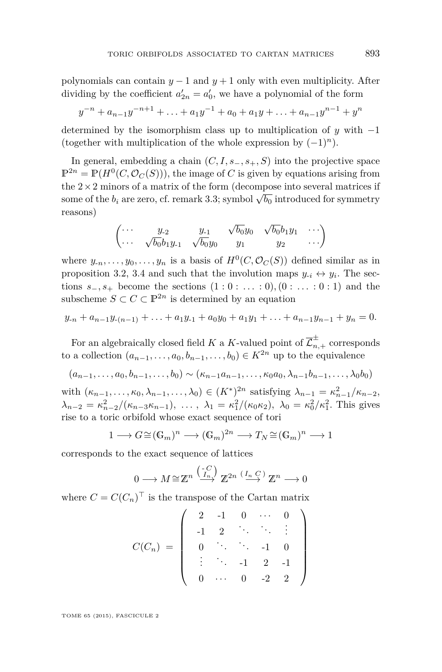polynomials can contain  $y - 1$  and  $y + 1$  only with even multiplicity. After dividing by the coefficient  $a'_{2n} = a'_{0}$ , we have a polynomial of the form

$$
y^{-n} + a_{n-1}y^{-n+1} + \ldots + a_1y^{-1} + a_0 + a_1y + \ldots + a_{n-1}y^{n-1} + y^n
$$

determined by the isomorphism class up to multiplication of *y* with −1 (together with multiplication of the whole expression by (−1)*n*).

In general, embedding a chain  $(C, I, s_-, s_+, S)$  into the projective space  $\mathbb{P}^{2n} = \mathbb{P}(H^0(C, \mathcal{O}_C(S)))$ , the image of *C* is given by equations arising from the  $2 \times 2$  minors of a matrix of the form (decompose into several matrices if some of the  $b_i$  are zero, cf. remark [3.3;](#page-16-0) symbol  $\sqrt{b_0}$  introduced for symmetry reasons)

$$
\begin{pmatrix}\n\cdots & y_{-2} & y_{-1} & \sqrt{b_0}y_0 & \sqrt{b_0}b_1y_1 & \cdots \\
\cdots & \sqrt{b_0}b_1y_{-1} & \sqrt{b_0}y_0 & y_1 & y_2 & \cdots\n\end{pmatrix}
$$

where  $y_{-n}, \ldots, y_0, \ldots, y_n$  is a basis of  $H^0(C, \mathcal{O}_C(S))$  defined similar as in proposition [3.2,](#page-15-0) [3.4](#page-16-0) and such that the involution maps  $y_{-i} \leftrightarrow y_i$ . The sections  $s_-, s_+$  become the sections  $(1 : 0 : ... : 0), (0 : ... : 0 : 1)$  and the subscheme  $S \subset C \subset \mathbb{P}^{2n}$  is determined by an equation

$$
y_{-n} + a_{n-1}y_{-(n-1)} + \ldots + a_1y_{-1} + a_0y_0 + a_1y_1 + \ldots + a_{n-1}y_{n-1} + y_n = 0.
$$

For an algebraically closed field *K* a *K*-valued point of  $\overline{\mathcal{L}}_{n,+}^{\pm}$  corresponds to a collection  $(a_{n-1}, \ldots, a_0, b_{n-1}, \ldots, b_0) \in K^{2n}$  up to the equivalence

$$
(a_{n-1},\ldots,a_0,b_{n-1},\ldots,b_0) \sim (\kappa_{n-1}a_{n-1},\ldots,\kappa_0a_0,\lambda_{n-1}b_{n-1},\ldots,\lambda_0b_0)
$$

with  $(\kappa_{n-1}, \ldots, \kappa_0, \lambda_{n-1}, \ldots, \lambda_0) \in (K^*)^{2n}$  satisfying  $\lambda_{n-1} = \kappa_{n-1}^2 / \kappa_{n-2}$ ,  $\lambda_{n-2} = \kappa_{n-2}^2/(\kappa_{n-3}\kappa_{n-1}), \ldots, \lambda_1 = \kappa_1^2/(\kappa_0\kappa_2), \lambda_0 = \kappa_0^2/\kappa_1^2$ . This gives rise to a toric orbifold whose exact sequence of tori

$$
1 \longrightarrow G \cong (\mathbb{G}_m)^n \longrightarrow (\mathbb{G}_m)^{2n} \longrightarrow T_N \cong (\mathbb{G}_m)^n \longrightarrow 1
$$

corresponds to the exact sequence of lattices

$$
0 \longrightarrow M \cong \mathbb{Z}^n \xrightarrow{\binom{-C}{I_n}} \mathbb{Z}^{2n} \xrightarrow{\left(I_n C\right)} \mathbb{Z}^n \longrightarrow 0
$$

where  $C = C(C_n)^\top$  is the transpose of the Cartan matrix

$$
C(C_n) = \left( \begin{array}{cccccc} 2 & -1 & 0 & \cdots & 0 \\ -1 & 2 & \ddots & \ddots & \vdots \\ 0 & \ddots & \ddots & -1 & 0 \\ \vdots & \ddots & -1 & 2 & -1 \\ 0 & \cdots & 0 & -2 & 2 \end{array} \right)
$$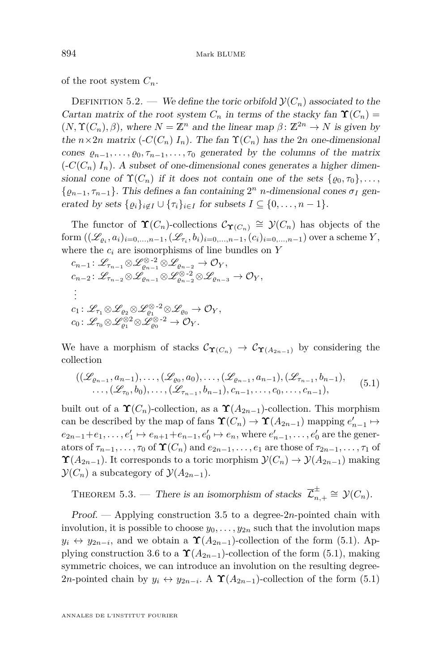<span id="page-32-0"></span>of the root system  $C_n$ .

DEFINITION 5.2. — We define the toric orbifold  $\mathcal{Y}(C_n)$  associated to the Cartan matrix of the root system  $C_n$  in terms of the stacky fan  $\Upsilon(C_n)$  =  $(N, \Upsilon(C_n), \beta)$ , where  $N = \mathbb{Z}^n$  and the linear map  $\beta \colon \mathbb{Z}^{2n} \to N$  is given by the  $n \times 2n$  matrix  $\left(-C(C_n) I_n\right)$ . The fan  $\Upsilon(C_n)$  has the 2*n* one-dimensional cones  $\varrho_{n-1}, \ldots, \varrho_0, \tau_{n-1}, \ldots, \tau_0$  generated by the columns of the matrix  $\left(\frac{-C(C_n)}{I_n}\right)$ . A subset of one-dimensional cones generates a higher dimensional cone of  $\Upsilon(C_n)$  if it does not contain one of the sets  $\{ \varrho_0, \tau_0 \}, \ldots$ ,  $\{\varrho_{n-1}, \tau_{n-1}\}$ . This defines a fan containing  $2^n$  *n*-dimensional cones  $\sigma_I$  generated by sets  $\{ \varrho_i \}_{i \in I} \cup \{ \tau_i \}_{i \in I}$  for subsets  $I \subseteq \{ 0, \ldots, n-1 \}.$ 

The functor of  $\Upsilon(C_n)$ -collections  $\mathcal{C}_{\Upsilon(C_n)} \cong \mathcal{Y}(C_n)$  has objects of the  ${\rm form} ((\mathscr{L}_{\varrho_i}, a_i)_{i=0,...,n-1}, (\mathscr{L}_{\tau_i}, b_i)_{i=0,...,n-1}, (c_i)_{i=0,...,n-1})$  over a scheme  $Y$ , where the  $c_i$  are isomorphisms of line bundles on  $Y$ 

$$
\begin{aligned} &c_{n-1}\colon \mathscr{L}_{\tau_{n-1}}\otimes \mathscr{L}_{\varrho_{n-1}}^{\otimes 2}\otimes \mathscr{L}_{\varrho_{n-2}}\to \mathcal{O}_Y,\\ &c_{n-2}\colon \mathscr{L}_{\tau_{n-2}}\otimes \mathscr{L}_{\varrho_{n-1}}\otimes \mathscr{L}_{\varrho_{n-2}}^{\otimes\cdot 2}\otimes \mathscr{L}_{\varrho_{n-3}}\to \mathcal{O}_Y,\\ &\vdots\\ &c_1\colon \mathscr{L}_{\tau_1}\otimes \mathscr{L}_{\varrho_2}\otimes \mathscr{L}_{\varrho_1}^{\otimes\cdot 2}\otimes \mathscr{L}_{\varrho_0}\to \mathcal{O}_Y,\\ &c_0\colon \mathscr{L}_{\tau_0}\otimes \mathscr{L}_{\varrho_1}^{\otimes 2}\otimes \mathscr{L}_{\varrho_0}^{\otimes\cdot 2}\to \mathcal{O}_Y.\end{aligned}
$$

We have a morphism of stacks  $\mathcal{C}_{\Upsilon(C_n)} \to \mathcal{C}_{\Upsilon(A_{2n-1})}$  by considering the collection

$$
((\mathscr{L}_{\varrho_{n-1}}, a_{n-1}), \ldots, (\mathscr{L}_{\varrho_{0}}, a_{0}), \ldots, (\mathscr{L}_{\varrho_{n-1}}, a_{n-1}), (\mathscr{L}_{\tau_{n-1}}, b_{n-1}),
$$
  
 
$$
\ldots, (\mathscr{L}_{\tau_{0}}, b_{0}), \ldots, (\mathscr{L}_{\tau_{n-1}}, b_{n-1}), c_{n-1}, \ldots, c_{0}, \ldots, c_{n-1}),
$$
 (5.1)

built out of a  $\Upsilon(C_n)$ -collection, as a  $\Upsilon(A_{2n-1})$ -collection. This morphism can be described by the map of fans  $\Upsilon(C_n) \to \Upsilon(A_{2n-1})$  mapping  $e'_{n-1} \mapsto$  $e_{2n-1}+e_1, \ldots, e'_1 \mapsto e_{n+1}+e_{n-1}, e'_0 \mapsto e_n$ , where  $e'_{n-1}, \ldots, e'_0$  are the generators of  $\tau_{n-1}, \ldots, \tau_0$  of  $\Upsilon(C_n)$  and  $e_{2n-1}, \ldots, e_1$  are those of  $\tau_{2n-1}, \ldots, \tau_1$  of  $\Upsilon(A_{2n-1})$ . It corresponds to a toric morphism  $\mathcal{Y}(C_n) \to \mathcal{Y}(A_{2n-1})$  making  $\mathcal{Y}(C_n)$  a subcategory of  $\mathcal{Y}(A_{2n-1})$ .

THEOREM 5.3. — There is an isomorphism of stacks  $\mathcal{Z}_n^{\pm}$  $\sum_{n,+}^{\pm} \cong \mathcal{Y}(C_n).$ 

Proof. — Applying construction [3.5](#page-17-0) to a degree-2*n*-pointed chain with involution, it is possible to choose  $y_0, \ldots, y_{2n}$  such that the involution maps  $y_i \leftrightarrow y_{2n-i}$ , and we obtain a  $\Upsilon(A_{2n-1})$ -collection of the form (5.1). Ap-plying construction [3.6](#page-18-0) to a  $\Upsilon(A_{2n-1})$ -collection of the form (5.1), making symmetric choices, we can introduce an involution on the resulting degree-2*n*-pointed chain by  $y_i \leftrightarrow y_{2n-i}$ . A  $\Upsilon(A_{2n-1})$ -collection of the form (5.1)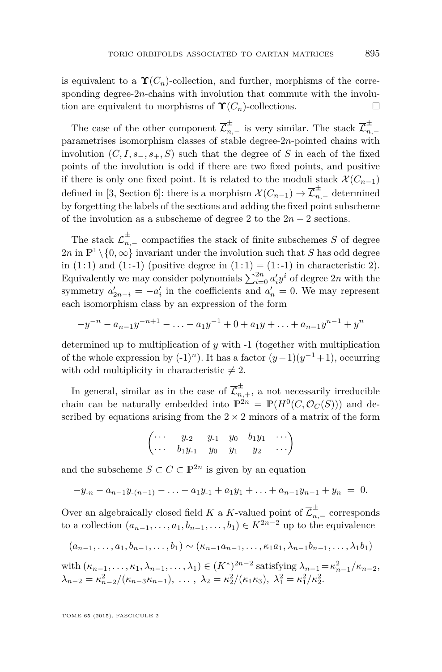is equivalent to a  $\Upsilon(C_n)$ -collection, and further, morphisms of the corresponding degree-2*n*-chains with involution that commute with the involution are equivalent to morphisms of  $\Upsilon(C_n)$ -collections.

The case of the other component  $\overline{\mathcal{L}}_{n,-}^{\pm}$  is very similar. The stack  $\overline{\mathcal{L}}_{n}^{\pm}$ *n,*− parametrises isomorphism classes of stable degree-2*n*-pointed chains with involution  $(C, I, s_-, s_+, S)$  such that the degree of *S* in each of the fixed points of the involution is odd if there are two fixed points, and positive if there is only one fixed point. It is related to the moduli stack  $\mathcal{X}(C_{n-1})$ defined in [\[3,](#page-38-0) Section 6]: there is a morphism  $\mathcal{X}(C_{n-1}) \to \overline{\mathcal{L}}_{n,-}^{\pm}$  determined by forgetting the labels of the sections and adding the fixed point subscheme of the involution as a subscheme of degree 2 to the  $2n - 2$  sections.

The stack  $\overline{\mathcal{L}}_{n,-}^{\pm}$  compactifies the stack of finite subschemes *S* of degree  $2n$  in  $\mathbb{P}^1 \setminus \{0,\infty\}$  invariant under the involution such that *S* has odd degree in  $(1:1)$  and  $(1:-1)$  (positive degree in  $(1:1) = (1:-1)$  in characteristic 2). Equivalently we may consider polynomials  $\sum_{i=0}^{2n} a'_i y^i$  of degree  $2n$  with the symmetry  $a'_{2n-i} = -a'_i$  in the coefficients and  $a'_n = 0$ . We may represent each isomorphism class by an expression of the form

$$
-y^{-n} - a_{n-1}y^{-n+1} - \ldots - a_1y^{-1} + 0 + a_1y + \ldots + a_{n-1}y^{n-1} + y^n
$$

determined up to multiplication of *y* with -1 (together with multiplication of the whole expression by  $(-1)^n$ ). It has a factor  $(y-1)(y^{-1}+1)$ , occurring with odd multiplicity in characteristic  $\neq 2$ .

In general, similar as in the case of  $\overline{\mathcal{L}}_{n,+}^{\pm}$ , a not necessarily irreducible chain can be naturally embedded into  $\mathbb{P}^{2n} = \mathbb{P}(H^0(C, \mathcal{O}_C(S)))$  and described by equations arising from the  $2 \times 2$  minors of a matrix of the form

$$
\begin{pmatrix}\n\cdots & y_{-2} & y_{-1} & y_0 & b_1y_1 & \cdots \\
\cdots & b_1y_{-1} & y_0 & y_1 & y_2 & \cdots\n\end{pmatrix}
$$

and the subscheme  $S \subset C \subset \mathbb{P}^{2n}$  is given by an equation

$$
-y_{-n}-a_{n-1}y_{-(n-1)}-\ldots-a_1y_{-1}+a_1y_1+\ldots+a_{n-1}y_{n-1}+y_n = 0.
$$

Over an algebraically closed field *K* a *K*-valued point of  $\overline{\mathcal{L}}_{n,-}^{\pm}$  corresponds to a collection  $(a_{n-1}, \ldots, a_1, b_{n-1}, \ldots, b_1) \in K^{2n-2}$  up to the equivalence

$$
(a_{n-1},...,a_1,b_{n-1},...,b_1) \sim (\kappa_{n-1}a_{n-1},..., \kappa_1 a_1, \lambda_{n-1}b_{n-1},..., \lambda_1 b_1)
$$

with  $(\kappa_{n-1}, \ldots, \kappa_1, \lambda_{n-1}, \ldots, \lambda_1) \in (K^*)^{2n-2}$  satisfying  $\lambda_{n-1} = \kappa_{n-1}^2/\kappa_{n-2}$ ,  $\lambda_{n-2} = \kappa_{n-2}^2/(\kappa_{n-3}\kappa_{n-1}), \ldots, \lambda_2 = \kappa_2^2/(\kappa_1\kappa_3), \lambda_1^2 = \kappa_1^2/\kappa_2^2.$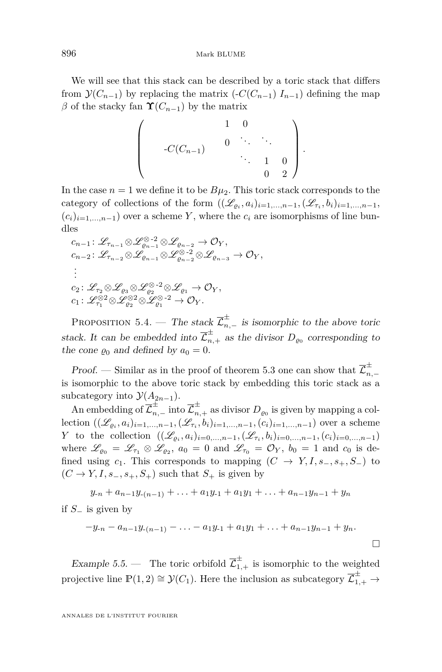We will see that this stack can be described by a toric stack that differs from  $\mathcal{Y}(C_{n-1})$  by replacing the matrix (- $C(C_{n-1})$  *I*<sub>*n*−1</sub>) defining the map  $β$  of the stacky fan  **by the matrix** 

$$
\left(\begin{array}{cccccc} & & & 1 & 0 & & \\ & & & 0 & \ddots & \ddots & \\ & & -C(C_{n-1}) & & & \ddots & \ddots & \\ & & & & \ddots & 1 & 0 \\ & & & & & 0 & 2 \end{array}\right).
$$

In the case  $n = 1$  we define it to be  $B\mu_2$ . This toric stack corresponds to the category of collections of the form  $((\mathscr{L}_{\varrho_i}, a_i)_{i=1,\ldots,n-1}, (\mathscr{L}_{\tau_i}, b_i)_{i=1,\ldots,n-1}$  $(c_i)_{i=1,\ldots,n-1}$  over a scheme *Y*, where the  $c_i$  are isomorphisms of line bundles

$$
c_{n-1}: \mathscr{L}_{\tau_{n-1}} \otimes \mathscr{L}_{\varrho_{n-1}}^{\otimes 2} \otimes \mathscr{L}_{\varrho_{n-2}} \to \mathcal{O}_Y,
$$
  
\n
$$
c_{n-2}: \mathscr{L}_{\tau_{n-2}} \otimes \mathscr{L}_{\varrho_{n-1}} \otimes \mathscr{L}_{\varrho_{n-2}}^{\otimes 2} \otimes \mathscr{L}_{\varrho_{n-3}} \to \mathcal{O}_Y,
$$
  
\n
$$
\vdots
$$
  
\n
$$
c_2: \mathscr{L}_{\tau_2} \otimes \mathscr{L}_{\varrho_3} \otimes \mathscr{L}_{\varrho_2}^{\otimes 2} \otimes \mathscr{L}_{\varrho_1} \to \mathcal{O}_Y,
$$
  
\n
$$
c_1: \mathscr{L}_{\tau_1}^{\otimes 2} \otimes \mathscr{L}_{\varrho_2}^{\otimes 2} \otimes \mathscr{L}_{\varrho_1}^{\otimes 2} \to \mathcal{O}_Y.
$$

PROPOSITION 5.4. — The stack  $\overline{\mathcal{L}}_{n,-}^{\pm}$  is isomorphic to the above toric stack. It can be embedded into  $\overline{\mathcal{L}}_{n,+}^{\pm}$  as the divisor  $D_{\varrho_0}$  corresponding to the cone  $\varrho_0$  and defined by  $a_0 = 0$ .

Proof. — Similar as in the proof of theorem [5.3](#page-32-0) one can show that  $\mathcal{I}_n^{\pm}$ *n,*− is isomorphic to the above toric stack by embedding this toric stack as a subcategory into  $\mathcal{Y}(A_{2n-1})$ .

An embedding of  $\overline{\mathcal{L}}_{n,-}^{\pm}$  into  $\overline{\mathcal{L}}_{n,+}^{\pm}$  as divisor  $D_{\varrho_0}$  is given by mapping a collection  $((\mathscr{L}_{\varrho_i}, a_i)_{i=1,\dots,n-1}, (\mathscr{L}_{\tau_i}, b_i)_{i=1,\dots,n-1}, (c_i)_{i=1,\dots,n-1})$  over a scheme *Y* to the collection  $((\mathscr{L}_{\varrho_i}, a_i)_{i=0,\dots,n-1}, (\mathscr{L}_{\tau_i}, b_i)_{i=0,\dots,n-1}, (c_i)_{i=0,\dots,n-1})$ where  $\mathscr{L}_{\varrho_0} = \mathscr{L}_{\tau_1} \otimes \mathscr{L}_{\varrho_2}$ ,  $a_0 = 0$  and  $\mathscr{L}_{\tau_0} = \mathcal{O}_Y$ ,  $b_0 = 1$  and  $c_0$  is defined using  $c_1$ . This corresponds to mapping  $(C \rightarrow Y, I, s_-, s_+, S_-)$  to  $(C \rightarrow Y, I, s_-, s_+, S_+)$  such that  $S_+$  is given by

$$
y_{-n} + a_{n-1}y_{-(n-1)} + \ldots + a_1y_{-1} + a_1y_1 + \ldots + a_{n-1}y_{n-1} + y_n
$$

if *S*<sup>−</sup> is given by

$$
-y_{n}-a_{n-1}y_{n-1}-\ldots-a_1y_{n-1}+a_1y_1+\ldots+a_{n-1}y_{n-1}+y_n.
$$

Example 5.5. — The toric orbifold  $\overline{\mathcal{L}}_{1,+}^{\pm}$  is isomorphic to the weighted projective line  $\mathbb{P}(1,2) \cong \mathcal{Y}(C_1)$ . Here the inclusion as subcategory  $\overline{\mathcal{L}}_{1,+}^{\pm} \to$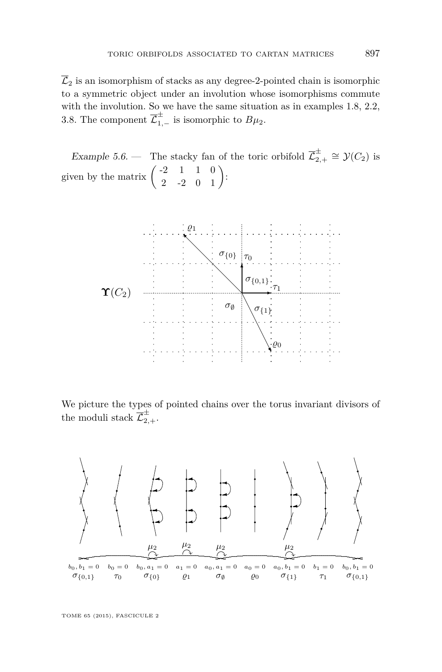$\overline{\mathcal{L}}_2$  is an isomorphism of stacks as any degree-2-pointed chain is isomorphic to a symmetric object under an involution whose isomorphisms commute with the involution. So we have the same situation as in examples [1.8,](#page-8-0) [2.2,](#page-10-0) [3.8.](#page-20-0) The component  $\overline{\mathcal{L}}_{1,-}^{\pm}$  is isomorphic to  $B\mu_2$ .

Example 5.6. — The stacky fan of the toric orbifold  $\overline{\mathcal{L}}_2^{\pm}$  $\frac{+}{2+}$  ≅  $\mathcal{Y}(C_2)$  is given by the matrix  $\begin{pmatrix} -2 & 1 & 1 & 0 \\ 2 & -2 & 0 & 1 \end{pmatrix}$ :



We picture the types of pointed chains over the torus invariant divisors of the moduli stack  $\overline{\mathcal{L}}_{2,+}^{\pm}$ .

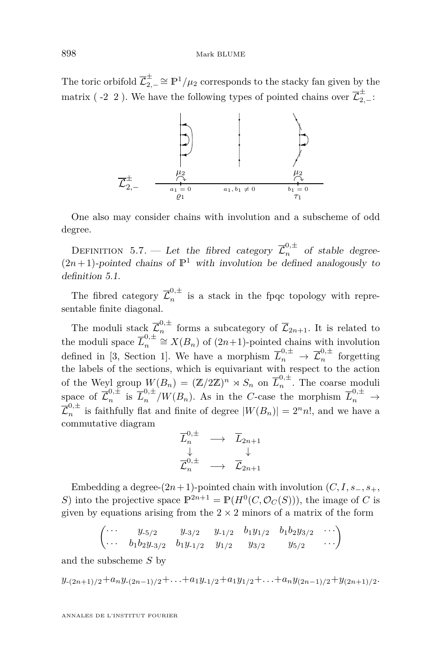The toric orbifold  $\overline{\mathcal{L}}_2^{\pm}$  $\sum_{2,-}^{\pm} \cong \mathbb{P}^1/\mu_2$  corresponds to the stacky fan given by the matrix ( -2 2). We have the following types of pointed chains over  $\overline{\mathcal{L}}_{2,-}^{\pm}$ :



One also may consider chains with involution and a subscheme of odd degree.

DEFINITION 5.7. — Let the fibred category  $\overline{\mathcal{L}}_n^{0,\pm}$  of stable degree- $(2n+1)$ -pointed chains of  $\mathbb{P}^1$  with involution be defined analogously to definition [5.1.](#page-29-0)

The fibred category  $\overline{\mathcal{L}}_n^{0,\pm}$  $\frac{1}{n}$  is a stack in the fpqc topology with representable finite diagonal.

The moduli stack  $\overline{\mathcal{L}}_n^{0,\pm}$  $\int_{n}^{\infty}$  forms a subcategory of  $\mathcal{L}_{2n+1}$ . It is related to the moduli space  $\overline{L}_n^{0,\pm}$  $n^{0,\pm}$  ≅  $X(B_n)$  of (2*n*+1)-pointed chains with involution defined in [\[3,](#page-38-0) Section 1]. We have a morphism  $\overline{L}_n^{0,\pm} \to \overline{\mathcal{L}}_n^{0,\pm}$  $n^{(n+1)}$  forgetting the labels of the sections, which is equivariant with respect to the action of the Weyl group  $W(B_n) = (\mathbb{Z}/2\mathbb{Z})^n \rtimes S_n$  on  $\overline{L}_n^{0,\pm}$  $\sum_{n=1}^{\infty}$ . The coarse moduli space of  $\overline{\mathcal{L}}_n^{0,\pm}$  $\frac{1}{n}$  is  $\overline{L}_{n}^{0,\pm}/W(B_{n})$ . As in the *C*-case the morphism  $\overline{L}_{n}^{0,\pm} \to$  $\overline{\mathcal{L}}_n^{0,\pm}$  $n^{0,\pm}$  is faithfully flat and finite of degree  $|W(B_n)| = 2^n n!$ , and we have a commutative diagram

$$
\begin{array}{ccc}\n\overline{L}^{0,\pm}_{n} & \longrightarrow & \overline{L}_{2n+1} \\
\downarrow & & \downarrow \\
\overline{L}^{0,\pm}_{n} & \longrightarrow & \overline{L}_{2n+1}\n\end{array}
$$

Embedding a degree- $(2n+1)$ -pointed chain with involution  $(C, I, s_-, s_+, s_+)$ *S*) into the projective space  $\mathbb{P}^{2n+1} = \mathbb{P}(H^0(C, \mathcal{O}_C(S)))$ , the image of *C* is given by equations arising from the  $2 \times 2$  minors of a matrix of the form

$$
\begin{pmatrix}\n\cdots & y_{-5/2} & y_{-3/2} & y_{-1/2} & b_1y_{1/2} & b_1b_2y_{3/2} & \cdots \\
\cdots & b_1b_2y_{-3/2} & b_1y_{-1/2} & y_{1/2} & y_{3/2} & y_{5/2} & \cdots\n\end{pmatrix}
$$

and the subscheme *S* by

$$
y_{-(2n+1)/2} + a_n y_{-(2n-1)/2} + \ldots + a_1 y_{-1/2} + a_1 y_{1/2} + \ldots + a_n y_{(2n-1)/2} + y_{(2n+1)/2}.
$$

ANNALES DE L'INSTITUT FOURIER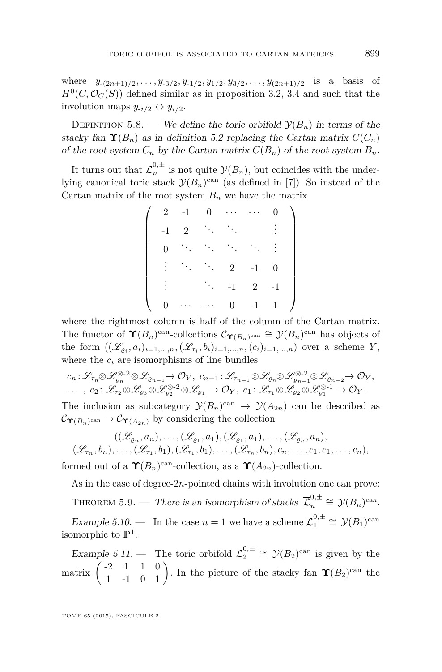where  $y_{-(2n+1)/2}, \ldots, y_{-3/2}, y_{-1/2}, y_{1/2}, y_{3/2}, \ldots, y_{(2n+1)/2}$  is a basis of  $H^0(C, \mathcal{O}_C(S))$  defined similar as in proposition [3.2,](#page-15-0) [3.4](#page-16-0) and such that the involution maps  $y_{-i/2} \leftrightarrow y_{i/2}$ .

DEFINITION 5.8. — We define the toric orbifold  $\mathcal{Y}(B_n)$  in terms of the stacky fan  $\Upsilon(B_n)$  as in definition [5.2](#page-32-0) replacing the Cartan matrix  $C(C_n)$ of the root system  $C_n$  by the Cartan matrix  $C(B_n)$  of the root system  $B_n$ .

It turns out that  $\overline{\mathcal{L}}_n^{0,\pm}$  $\int_{n}^{\infty}$  is not quite  $\mathcal{Y}(B_n)$ , but coincides with the underlying canonical toric stack  $\mathcal{Y}(B_n)$ <sup>can</sup> (as defined in [\[7\]](#page-39-0)). So instead of the Cartan matrix of the root system  $B_n$  we have the matrix

|                                              | $2 -1$     |                                                                                                                                                           | $0 \cdots$     | . .            |      |  |
|----------------------------------------------|------------|-----------------------------------------------------------------------------------------------------------------------------------------------------------|----------------|----------------|------|--|
|                                              |            |                                                                                                                                                           |                |                |      |  |
| $\begin{matrix} 0 & \mathbf{0} \end{matrix}$ |            | $\label{eq:1} \mathcal{L}_{\mathcal{L}} = \mathcal{L}_{\mathcal{L}} = \mathcal{L}_{\mathcal{L}} = \mathcal{L}_{\mathcal{L}} = \mathcal{L}_{\mathcal{L}}.$ |                |                |      |  |
|                                              |            | $\mathcal{L}^{\text{max}}_{\text{max}}$ , where $\mathcal{L}^{\text{max}}_{\text{max}}$                                                                   | $\overline{2}$ | $-1$           |      |  |
|                                              |            |                                                                                                                                                           | $-1$           | $\overline{2}$ | $-1$ |  |
| $\overline{0}$                               | $\ldots$ . | $\alpha$ , $\alpha$                                                                                                                                       | $\overline{0}$ | $-1$           |      |  |

where the rightmost column is half of the column of the Cartan matrix. The functor of  $\Upsilon(B_n)$ <sup>can</sup>-collections  $C_{\Upsilon(B_n)$ <sup>can</sup>  $\cong \mathcal{Y}(B_n)$ <sup>can</sup> has objects of the form  $((\mathscr{L}_{\varrho_i}, a_i)_{i=1,\dots,n}, (\mathscr{L}_{\tau_i}, b_i)_{i=1,\dots,n}, (c_i)_{i=1,\dots,n})$  over a scheme *Y*, where the  $c_i$  are isomorphisms of line bundles

$$
\begin{array}{l}c_{n}\colon{\mathscr L}_{\tau_{n}}\otimes{\mathscr L}^{\otimes-2}_{{\varrho}_n}\otimes{\mathscr L}_{{\varrho}_{n-1}}{\rightarrow} {\mathcal O}_{Y},\; c_{n-1}\colon{\mathscr L}_{\tau_{n-1}}\otimes{\mathscr L}_{{\varrho}_n}\otimes{\mathscr L}^{\otimes-2}_{{\varrho}_{n-1}}\otimes{\mathscr L}_{{\varrho}_{n-2}}{\rightarrow} {\mathcal O}_{Y},\\ \ldots\;,\; c_2\colon{\mathscr L}_{\tau_2}\otimes{\mathscr L}_{{\varrho}_3}\otimes{\mathscr L}_{{\varrho}_2}^{\otimes-2}\otimes{\mathscr L}_{{\varrho}_1}\rightarrow{\mathcal O}_{Y},\; c_1\colon{\mathscr L}_{\tau_1}\otimes{\mathscr L}_{{\varrho}_2}\otimes{\mathscr L}_{{\varrho}_1}^{\otimes-1}\rightarrow{\mathcal O}_{Y}.\end{array}
$$

The inclusion as subcategory  $\mathcal{Y}(B_n)$ <sup>can</sup>  $\rightarrow \mathcal{Y}(A_{2n})$  can be described as  $\mathcal{C}_{\Upsilon(B_n)^{\text{can}}} \to \mathcal{C}_{\Upsilon(A_{2n})}$  by considering the collection

$$
((\mathscr{L}_{\varrho_n}, a_n), \ldots, (\mathscr{L}_{\varrho_1}, a_1), (\mathscr{L}_{\varrho_1}, a_1), \ldots, (\mathscr{L}_{\varrho_n}, a_n),
$$
  

$$
(\mathscr{L}_{\tau_n}, b_n), \ldots, (\mathscr{L}_{\tau_1}, b_1), (\mathscr{L}_{\tau_1}, b_1), \ldots, (\mathscr{L}_{\tau_n}, b_n), c_n, \ldots, c_1, c_1, \ldots, c_n),
$$

formed out of a  $\Upsilon(B_n)$ <sup>can</sup>-collection, as a  $\Upsilon(A_{2n})$ -collection.

As in the case of degree-2*n*-pointed chains with involution one can prove: THEOREM 5.9. — There is an isomorphism of stacks  $\overline{\mathcal{L}}_n^{0,\pm}$  $v_n^{0,\pm} \cong \mathcal{Y}(B_n)^{can}.$ Example 5.10.  $\blacksquare$  In the case  $n = 1$  we have a scheme  $\overline{\mathcal{L}}_1^{0, \pm}$  $v_1^{0,\pm} \cong \mathcal{Y}(B_1)^{\mathrm{can}}$ isomorphic to  $\mathbb{P}^1$ .

Example 5.11. — The toric orbifold  $\overline{\mathcal{L}}_2^{0,\pm}$  $2^{0,\pm} \cong \mathcal{Y}(B_2)^{\text{can}}$  is given by the matrix  $\begin{pmatrix} -2 & 1 & 1 & 0 \\ 1 & -1 & 0 & 1 \end{pmatrix}$ . In the picture of the stacky fan  $\Upsilon(B_2)^{can}$  the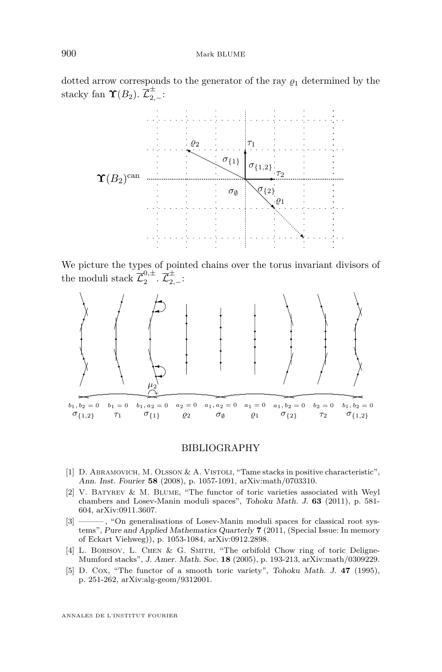<span id="page-38-0"></span>dotted arrow corresponds to the generator of the ray  $\rho_1$  determined by the stacky fan  $\Upsilon(B_2)$ .  $\overline{\mathcal{L}}_{2,-}^{\pm}$ :



We picture the types of pointed chains over the torus invariant divisors of the moduli stack  $\overline{\mathcal{L}}_{2}^{0,\pm}$  $\overline{\mathcal L}_{2,-}^{0,\pm}\!:\overline{\mathcal L}_{2,-}^{\pm}\!:\,$ 



#### BIBLIOGRAPHY

- [1] D. ABRAMOVICH, M. OLSSON & A. VISTOLI, "Tame stacks in positive characteristic", Ann. Inst. Fourier **58** (2008), p. 1057-1091, arXiv:math/0703310.
- [2] V. Batyrev & M. Blume, "The functor of toric varieties associated with Weyl chambers and Losev-Manin moduli spaces", Tohoku Math. J. **63** (2011), p. 581- 604, arXiv:0911.3607.
- [3] ——— , "On generalisations of Losev-Manin moduli spaces for classical root systems", Pure and Applied Mathematics Quarterly **7** (2011, (Special Issue: In memory of Eckart Viehweg)), p. 1053-1084, arXiv:0912.2898.
- [4] L. BORISOV, L. CHEN & G. SMITH, "The orbifold Chow ring of toric Deligne-Mumford stacks", J. Amer. Math. Soc. **18** (2005), p. 193-213, arXiv:math/0309229.
- [5] D. Cox, "The functor of a smooth toric variety", Tohoku Math. J. **47** (1995), p. 251-262, arXiv:alg-geom/9312001.